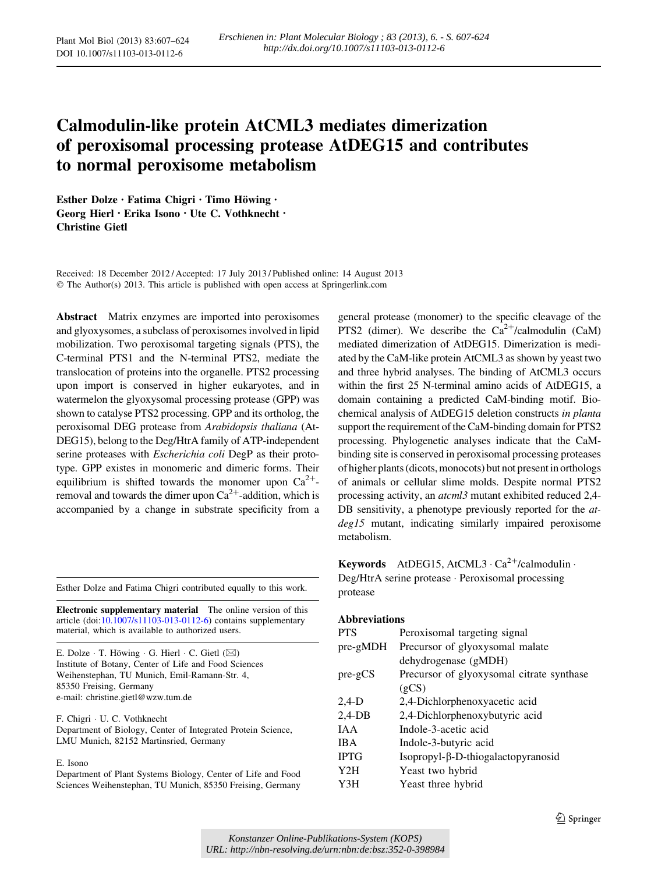# Calmodulin-like protein AtCML3 mediates dimerization of peroxisomal processing protease AtDEG15 and contributes to normal peroxisome metabolism

Esther Dolze • Fatima Chigri • Timo Höwing • Georg Hierl • Erika Isono • Ute C. Vothknecht • Christine Gietl

Received: 18 December 2012 / Accepted: 17 July 2013 / Published online: 14 August 2013 © The Author(s) 2013. This article is published with open access at Springerlink.com

Abstract Matrix enzymes are imported into peroxisomes and glyoxysomes, a subclass of peroxisomes involved in lipid mobilization. Two peroxisomal targeting signals (PTS), the C-terminal PTS1 and the N-terminal PTS2, mediate the translocation of proteins into the organelle. PTS2 processing upon import is conserved in higher eukaryotes, and in watermelon the glyoxysomal processing protease (GPP) was shown to catalyse PTS2 processing. GPP and its ortholog, the peroxisomal DEG protease from Arabidopsis thaliana (At-DEG15), belong to the Deg/HtrA family of ATP-independent serine proteases with Escherichia coli DegP as their prototype. GPP existes in monomeric and dimeric forms. Their equilibrium is shifted towards the monomer upon  $Ca^{2+}$ removal and towards the dimer upon  $Ca^{2+}$ -addition, which is accompanied by a change in substrate specificity from a

Esther Dolze and Fatima Chigri contributed equally to this work.

Electronic supplementary material The online version of this article (doi:[10.1007/s11103-013-0112-6\)](http://dx.doi.org/10.1007/s11103-013-0112-6) contains supplementary material, which is available to authorized users.

E. Dolze  $\cdot$  T. Höwing  $\cdot$  G. Hierl  $\cdot$  C. Gietl ( $\boxtimes$ ) Institute of Botany, Center of Life and Food Sciences Weihenstephan, TU Munich, Emil-Ramann-Str. 4, 85350 Freising, Germany e-mail: christine.gietl@wzw.tum.de

F. Chigri - U. C. Vothknecht Department of Biology, Center of Integrated Protein Science, LMU Munich, 82152 Martinsried, Germany

E. Isono

Department of Plant Systems Biology, Center of Life and Food Sciences Weihenstephan, TU Munich, 85350 Freising, Germany

general protease (monomer) to the specific cleavage of the PTS2 (dimer). We describe the  $Ca^{2+}/cal$ calmodulin (CaM) mediated dimerization of AtDEG15. Dimerization is mediated by the CaM-like protein AtCML3 as shown by yeast two and three hybrid analyses. The binding of AtCML3 occurs within the first 25 N-terminal amino acids of AtDEG15, a domain containing a predicted CaM-binding motif. Biochemical analysis of AtDEG15 deletion constructs in planta support the requirement of the CaM-binding domain for PTS2 processing. Phylogenetic analyses indicate that the CaMbinding site is conserved in peroxisomal processing proteases of higher plants (dicots, monocots) but not present in orthologs of animals or cellular slime molds. Despite normal PTS2 processing activity, an atcml3 mutant exhibited reduced 2,4- DB sensitivity, a phenotype previously reported for the *at*deg15 mutant, indicating similarly impaired peroxisome metabolism.

Keywords AtDEG15, AtCML3  $\cdot$  Ca<sup>2+</sup>/calmodulin  $\cdot$ Deg/HtrA serine protease - Peroxisomal processing protease

## Abbreviations

| <b>PTS</b>       | Peroxisomal targeting signal              |  |  |  |
|------------------|-------------------------------------------|--|--|--|
| pre-gMDH         | Precursor of glyoxysomal malate           |  |  |  |
|                  | dehydrogenase (gMDH)                      |  |  |  |
| $pre-gCS$        | Precursor of glyoxysomal citrate synthase |  |  |  |
|                  | (gCS)                                     |  |  |  |
| $2,4-D$          | 2,4-Dichlorphenoxyacetic acid             |  |  |  |
| $2,4$ -DB        | 2,4-Dichlorphenoxybutyric acid            |  |  |  |
| <b>JAA</b>       | Indole-3-acetic acid                      |  |  |  |
| <b>IBA</b>       | Indole-3-butyric acid                     |  |  |  |
| <b>IPTG</b>      | Isopropyl-β-D-thiogalactopyranosid        |  |  |  |
| Y <sub>2</sub> H | Yeast two hybrid                          |  |  |  |
| Y3H              | Yeast three hybrid                        |  |  |  |
|                  |                                           |  |  |  |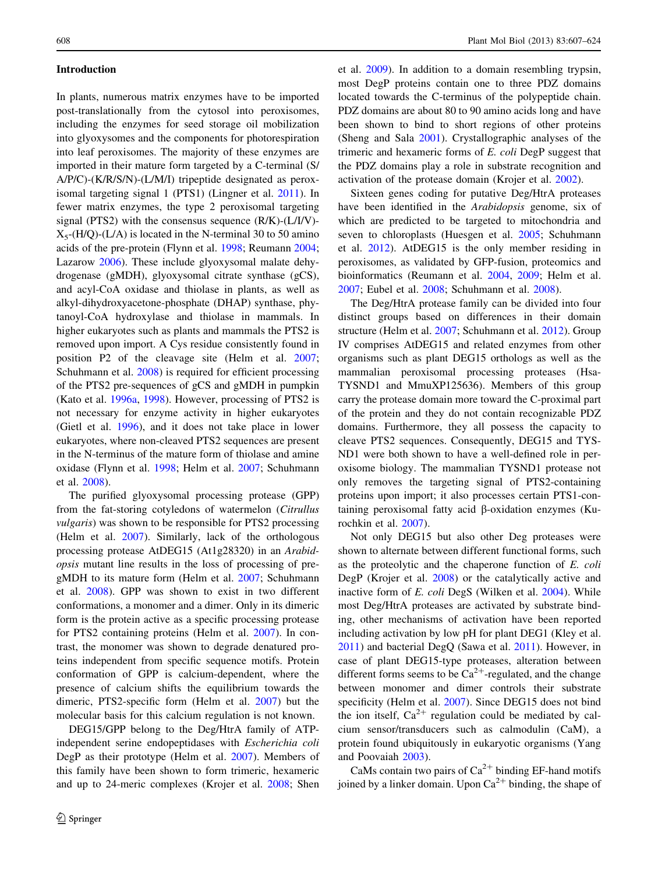## Introduction

In plants, numerous matrix enzymes have to be imported post-translationally from the cytosol into peroxisomes, including the enzymes for seed storage oil mobilization into glyoxysomes and the components for photorespiration into leaf peroxisomes. The majority of these enzymes are imported in their mature form targeted by a C-terminal (S/ A/P/C)-(K/R/S/N)-(L/M/I) tripeptide designated as peroxisomal targeting signal 1 (PTS1) (Lingner et al. [2011](#page-16-0)). In fewer matrix enzymes, the type 2 peroxisomal targeting signal (PTS2) with the consensus sequence (R/K)-(L/I/V)-  $X_5$ -(H/Q)-(L/A) is located in the N-terminal 30 to 50 amino acids of the pre-protein (Flynn et al. [1998;](#page-16-0) Reumann [2004](#page-17-0); Lazarow [2006\)](#page-16-0). These include glyoxysomal malate dehydrogenase (gMDH), glyoxysomal citrate synthase (gCS), and acyl-CoA oxidase and thiolase in plants, as well as alkyl-dihydroxyacetone-phosphate (DHAP) synthase, phytanoyl-CoA hydroxylase and thiolase in mammals. In higher eukaryotes such as plants and mammals the PTS2 is removed upon import. A Cys residue consistently found in position P2 of the cleavage site (Helm et al. [2007](#page-16-0); Schuhmann et al. [2008\)](#page-17-0) is required for efficient processing of the PTS2 pre-sequences of gCS and gMDH in pumpkin (Kato et al. [1996a](#page-16-0), [1998\)](#page-16-0). However, processing of PTS2 is not necessary for enzyme activity in higher eukaryotes (Gietl et al. [1996\)](#page-16-0), and it does not take place in lower eukaryotes, where non-cleaved PTS2 sequences are present in the N-terminus of the mature form of thiolase and amine oxidase (Flynn et al. [1998](#page-16-0); Helm et al. [2007;](#page-16-0) Schuhmann et al. [2008\)](#page-17-0).

The purified glyoxysomal processing protease (GPP) from the fat-storing cotyledons of watermelon (Citrullus vulgaris) was shown to be responsible for PTS2 processing (Helm et al. [2007](#page-16-0)). Similarly, lack of the orthologous processing protease AtDEG15 (At1g28320) in an Arabidopsis mutant line results in the loss of processing of pregMDH to its mature form (Helm et al. [2007;](#page-16-0) Schuhmann et al. [2008](#page-17-0)). GPP was shown to exist in two different conformations, a monomer and a dimer. Only in its dimeric form is the protein active as a specific processing protease for PTS2 containing proteins (Helm et al. [2007](#page-16-0)). In contrast, the monomer was shown to degrade denatured proteins independent from specific sequence motifs. Protein conformation of GPP is calcium-dependent, where the presence of calcium shifts the equilibrium towards the dimeric, PTS2-specific form (Helm et al. [2007](#page-16-0)) but the molecular basis for this calcium regulation is not known.

DEG15/GPP belong to the Deg/HtrA family of ATPindependent serine endopeptidases with Escherichia coli DegP as their prototype (Helm et al. [2007](#page-16-0)). Members of this family have been shown to form trimeric, hexameric and up to 24-meric complexes (Krojer et al. [2008](#page-16-0); Shen et al. [2009](#page-17-0)). In addition to a domain resembling trypsin, most DegP proteins contain one to three PDZ domains located towards the C-terminus of the polypeptide chain. PDZ domains are about 80 to 90 amino acids long and have been shown to bind to short regions of other proteins (Sheng and Sala [2001](#page-17-0)). Crystallographic analyses of the trimeric and hexameric forms of E. coli DegP suggest that the PDZ domains play a role in substrate recognition and activation of the protease domain (Krojer et al. [2002\)](#page-16-0).

Sixteen genes coding for putative Deg/HtrA proteases have been identified in the Arabidopsis genome, six of which are predicted to be targeted to mitochondria and seven to chloroplasts (Huesgen et al. [2005](#page-16-0); Schuhmann et al. [2012](#page-17-0)). AtDEG15 is the only member residing in peroxisomes, as validated by GFP-fusion, proteomics and bioinformatics (Reumann et al. [2004](#page-17-0), [2009](#page-17-0); Helm et al. [2007](#page-16-0); Eubel et al. [2008;](#page-16-0) Schuhmann et al. [2008\)](#page-17-0).

The Deg/HtrA protease family can be divided into four distinct groups based on differences in their domain structure (Helm et al. [2007;](#page-16-0) Schuhmann et al. [2012\)](#page-17-0). Group IV comprises AtDEG15 and related enzymes from other organisms such as plant DEG15 orthologs as well as the mammalian peroxisomal processing proteases (Hsa-TYSND1 and MmuXP125636). Members of this group carry the protease domain more toward the C-proximal part of the protein and they do not contain recognizable PDZ domains. Furthermore, they all possess the capacity to cleave PTS2 sequences. Consequently, DEG15 and TYS-ND1 were both shown to have a well-defined role in peroxisome biology. The mammalian TYSND1 protease not only removes the targeting signal of PTS2-containing proteins upon import; it also processes certain PTS1-containing peroxisomal fatty acid  $\beta$ -oxidation enzymes (Kurochkin et al. [2007\)](#page-16-0).

Not only DEG15 but also other Deg proteases were shown to alternate between different functional forms, such as the proteolytic and the chaperone function of E. coli DegP (Krojer et al. [2008\)](#page-16-0) or the catalytically active and inactive form of E. coli DegS (Wilken et al. [2004\)](#page-17-0). While most Deg/HtrA proteases are activated by substrate binding, other mechanisms of activation have been reported including activation by low pH for plant DEG1 (Kley et al. [2011](#page-16-0)) and bacterial DegQ (Sawa et al. [2011](#page-17-0)). However, in case of plant DEG15-type proteases, alteration between different forms seems to be  $Ca^{2+}$ -regulated, and the change between monomer and dimer controls their substrate specificity (Helm et al. [2007\)](#page-16-0). Since DEG15 does not bind the ion itself,  $Ca^{2+}$  regulation could be mediated by calcium sensor/transducers such as calmodulin (CaM), a protein found ubiquitously in eukaryotic organisms (Yang and Poovaiah [2003](#page-17-0)).

CaMs contain two pairs of  $Ca^{2+}$  binding EF-hand motifs joined by a linker domain. Upon  $Ca^{2+}$  binding, the shape of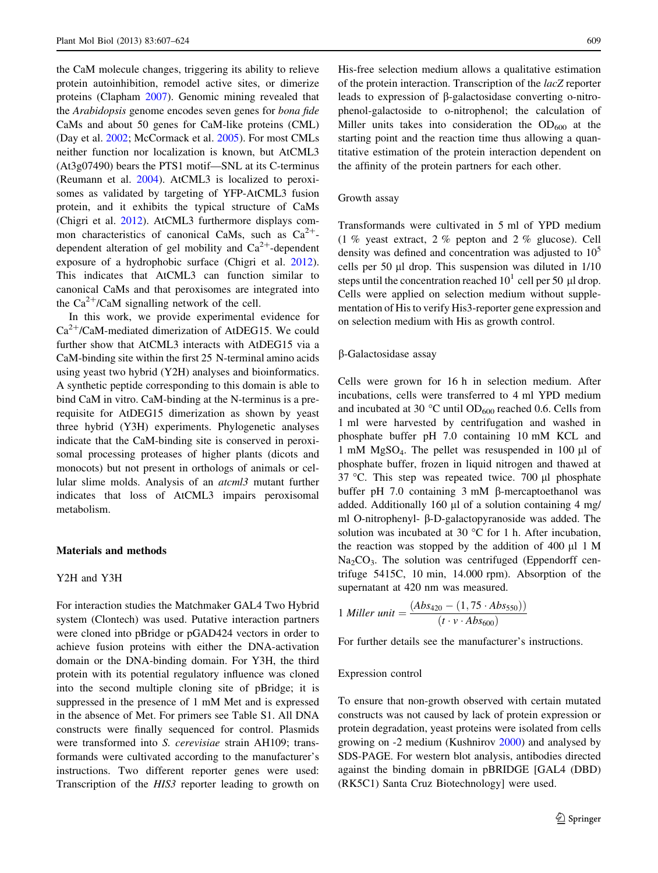the CaM molecule changes, triggering its ability to relieve protein autoinhibition, remodel active sites, or dimerize proteins (Clapham [2007\)](#page-16-0). Genomic mining revealed that the Arabidopsis genome encodes seven genes for bona fide CaMs and about 50 genes for CaM-like proteins (CML) (Day et al. [2002;](#page-16-0) McCormack et al. [2005\)](#page-16-0). For most CMLs neither function nor localization is known, but AtCML3 (At3g07490) bears the PTS1 motif—SNL at its C-terminus (Reumann et al. [2004\)](#page-17-0). AtCML3 is localized to peroxisomes as validated by targeting of YFP-AtCML3 fusion protein, and it exhibits the typical structure of CaMs (Chigri et al. [2012](#page-16-0)). AtCML3 furthermore displays common characteristics of canonical CaMs, such as  $Ca^{2+}$ dependent alteration of gel mobility and  $Ca^{2+}$ -dependent exposure of a hydrophobic surface (Chigri et al. [2012](#page-16-0)). This indicates that AtCML3 can function similar to canonical CaMs and that peroxisomes are integrated into the  $Ca^{2+}/CaM$  signalling network of the cell.

In this work, we provide experimental evidence for  $Ca^{2+}/CaM$ -mediated dimerization of AtDEG15. We could further show that AtCML3 interacts with AtDEG15 via a CaM-binding site within the first 25 N-terminal amino acids using yeast two hybrid (Y2H) analyses and bioinformatics. A synthetic peptide corresponding to this domain is able to bind CaM in vitro. CaM-binding at the N-terminus is a prerequisite for AtDEG15 dimerization as shown by yeast three hybrid (Y3H) experiments. Phylogenetic analyses indicate that the CaM-binding site is conserved in peroxisomal processing proteases of higher plants (dicots and monocots) but not present in orthologs of animals or cellular slime molds. Analysis of an atcml3 mutant further indicates that loss of AtCML3 impairs peroxisomal metabolism.

## Materials and methods

## Y2H and Y3H

For interaction studies the Matchmaker GAL4 Two Hybrid system (Clontech) was used. Putative interaction partners were cloned into pBridge or pGAD424 vectors in order to achieve fusion proteins with either the DNA-activation domain or the DNA-binding domain. For Y3H, the third protein with its potential regulatory influence was cloned into the second multiple cloning site of pBridge; it is suppressed in the presence of 1 mM Met and is expressed in the absence of Met. For primers see Table S1. All DNA constructs were finally sequenced for control. Plasmids were transformed into S. cerevisiae strain AH109; transformands were cultivated according to the manufacturer's instructions. Two different reporter genes were used: Transcription of the HIS3 reporter leading to growth on His-free selection medium allows a qualitative estimation of the protein interaction. Transcription of the lacZ reporter leads to expression of β-galactosidase converting o-nitrophenol-galactoside to o-nitrophenol; the calculation of Miller units takes into consideration the  $OD<sub>600</sub>$  at the starting point and the reaction time thus allowing a quantitative estimation of the protein interaction dependent on the affinity of the protein partners for each other.

## Growth assay

Transformands were cultivated in 5 ml of YPD medium (1 % yeast extract, 2 % pepton and 2 % glucose). Cell density was defined and concentration was adjusted to  $10<sup>5</sup>$ cells per 50  $\mu$ l drop. This suspension was diluted in 1/10 steps until the concentration reached  $10^1$  cell per 50 µl drop. Cells were applied on selection medium without supplementation of His to verify His3-reporter gene expression and on selection medium with His as growth control.

### b-Galactosidase assay

Cells were grown for 16 h in selection medium. After incubations, cells were transferred to 4 ml YPD medium and incubated at 30  $^{\circ}$ C until OD<sub>600</sub> reached 0.6. Cells from 1 ml were harvested by centrifugation and washed in phosphate buffer pH 7.0 containing 10 mM KCL and 1 mM  $MgSO<sub>4</sub>$ . The pellet was resuspended in 100 µl of phosphate buffer, frozen in liquid nitrogen and thawed at 37 °C. This step was repeated twice. 700  $\mu$ l phosphate buffer pH 7.0 containing  $3 \text{ mM}$   $\beta$ -mercaptoethanol was added. Additionally 160  $\mu$ l of a solution containing 4 mg/ ml O-nitrophenyl-  $\beta$ -D-galactopyranoside was added. The solution was incubated at 30  $\degree$ C for 1 h. After incubation, the reaction was stopped by the addition of  $400 \mu 1 \text{ M}$  $Na<sub>2</sub>CO<sub>3</sub>$ . The solution was centrifuged (Eppendorff centrifuge 5415C, 10 min, 14.000 rpm). Absorption of the supernatant at 420 nm was measured.

1 Miller unit = 
$$
\frac{(Abs_{420} - (1, 75 \cdot Abs_{550}))}{(t \cdot v \cdot Abs_{600})}
$$

For further details see the manufacturer's instructions.

#### Expression control

To ensure that non-growth observed with certain mutated constructs was not caused by lack of protein expression or protein degradation, yeast proteins were isolated from cells growing on -2 medium (Kushnirov [2000\)](#page-16-0) and analysed by SDS-PAGE. For western blot analysis, antibodies directed against the binding domain in pBRIDGE [GAL4 (DBD) (RK5C1) Santa Cruz Biotechnology] were used.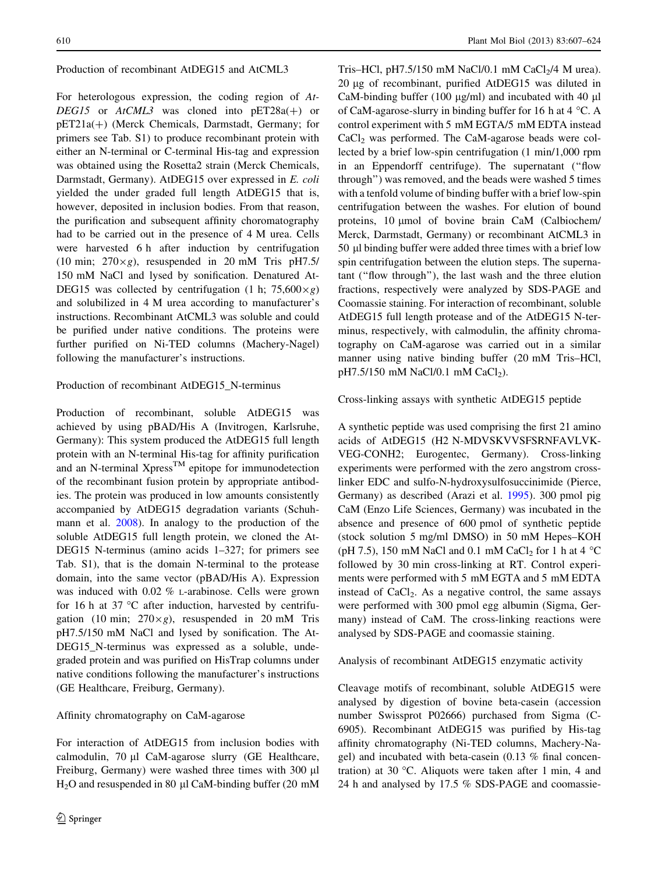## Production of recombinant AtDEG15 and AtCML3

For heterologous expression, the coding region of At-DEG15 or  $AtCML3$  was cloned into  $pET28a(+)$  or  $pET21a(+)$  (Merck Chemicals, Darmstadt, Germany; for primers see Tab. S1) to produce recombinant protein with either an N-terminal or C-terminal His-tag and expression was obtained using the Rosetta2 strain (Merck Chemicals, Darmstadt, Germany). AtDEG15 over expressed in E. coli yielded the under graded full length AtDEG15 that is, however, deposited in inclusion bodies. From that reason, the purification and subsequent affinity choromatography had to be carried out in the presence of 4 M urea. Cells were harvested 6 h after induction by centrifugation (10 min;  $270 \times g$ ), resuspended in 20 mM Tris pH7.5/ 150 mM NaCl and lysed by sonification. Denatured At-DEG15 was collected by centrifugation (1 h;  $75,600 \times g$ ) and solubilized in 4 M urea according to manufacturer's instructions. Recombinant AtCML3 was soluble and could be purified under native conditions. The proteins were further purified on Ni-TED columns (Machery-Nagel) following the manufacturer's instructions.

## Production of recombinant AtDEG15\_N-terminus

Production of recombinant, soluble AtDEG15 was achieved by using pBAD/His A (Invitrogen, Karlsruhe, Germany): This system produced the AtDEG15 full length protein with an N-terminal His-tag for affinity purification and an N-terminal Xpress<sup>TM</sup> epitope for immunodetection of the recombinant fusion protein by appropriate antibodies. The protein was produced in low amounts consistently accompanied by AtDEG15 degradation variants (Schuhmann et al. [2008](#page-17-0)). In analogy to the production of the soluble AtDEG15 full length protein, we cloned the At-DEG15 N-terminus (amino acids 1–327; for primers see Tab. S1), that is the domain N-terminal to the protease domain, into the same vector (pBAD/His A). Expression was induced with 0.02 % L-arabinose. Cells were grown for 16 h at 37  $\degree$ C after induction, harvested by centrifugation (10 min;  $270 \times g$ ), resuspended in 20 mM Tris pH7.5/150 mM NaCl and lysed by sonification. The At-DEG15\_N-terminus was expressed as a soluble, undegraded protein and was purified on HisTrap columns under native conditions following the manufacturer's instructions (GE Healthcare, Freiburg, Germany).

# Affinity chromatography on CaM-agarose

For interaction of AtDEG15 from inclusion bodies with calmodulin,  $70 \mu l$  CaM-agarose slurry (GE Healthcare, Freiburg, Germany) were washed three times with 300 µl  $H<sub>2</sub>O$  and resuspended in 80 µl CaM-binding buffer (20 mM

Tris–HCl, pH7.5/150 mM NaCl/0.1 mM CaCl $\frac{1}{4}$  M urea). 20 lg of recombinant, purified AtDEG15 was diluted in CaM-binding buffer  $(100 \mu g/ml)$  and incubated with 40  $\mu$ l of CaM-agarose-slurry in binding buffer for 16 h at  $4 \text{ }^{\circ}$ C. A control experiment with 5 mM EGTA/5 mM EDTA instead  $CaCl<sub>2</sub>$  was performed. The CaM-agarose beads were collected by a brief low-spin centrifugation (1 min/1,000 rpm in an Eppendorff centrifuge). The supernatant (''flow through'') was removed, and the beads were washed 5 times with a tenfold volume of binding buffer with a brief low-spin centrifugation between the washes. For elution of bound proteins, 10 umol of bovine brain CaM (Calbiochem/ Merck, Darmstadt, Germany) or recombinant AtCML3 in 50 ll binding buffer were added three times with a brief low spin centrifugation between the elution steps. The supernatant (''flow through''), the last wash and the three elution fractions, respectively were analyzed by SDS-PAGE and Coomassie staining. For interaction of recombinant, soluble AtDEG15 full length protease and of the AtDEG15 N-terminus, respectively, with calmodulin, the affinity chromatography on CaM-agarose was carried out in a similar manner using native binding buffer (20 mM Tris–HCl, pH7.5/150 mM NaCl/0.1 mM CaCl<sub>2</sub>).

## Cross-linking assays with synthetic AtDEG15 peptide

A synthetic peptide was used comprising the first 21 amino acids of AtDEG15 (H2 N-MDVSKVVSFSRNFAVLVK-VEG-CONH2; Eurogentec, Germany). Cross-linking experiments were performed with the zero angstrom crosslinker EDC and sulfo-N-hydroxysulfosuccinimide (Pierce, Germany) as described (Arazi et al. [1995](#page-15-0)). 300 pmol pig CaM (Enzo Life Sciences, Germany) was incubated in the absence and presence of 600 pmol of synthetic peptide (stock solution 5 mg/ml DMSO) in 50 mM Hepes–KOH (pH 7.5), 150 mM NaCl and 0.1 mM CaCl<sub>2</sub> for 1 h at 4  $^{\circ}$ C followed by 30 min cross-linking at RT. Control experiments were performed with 5 mM EGTA and 5 mM EDTA instead of  $CaCl<sub>2</sub>$ . As a negative control, the same assays were performed with 300 pmol egg albumin (Sigma, Germany) instead of CaM. The cross-linking reactions were analysed by SDS-PAGE and coomassie staining.

# Analysis of recombinant AtDEG15 enzymatic activity

Cleavage motifs of recombinant, soluble AtDEG15 were analysed by digestion of bovine beta-casein (accession number Swissprot P02666) purchased from Sigma (C-6905). Recombinant AtDEG15 was purified by His-tag affinity chromatography (Ni-TED columns, Machery-Nagel) and incubated with beta-casein (0.13 % final concentration) at 30 °C. Aliquots were taken after 1 min, 4 and 24 h and analysed by 17.5 % SDS-PAGE and coomassie-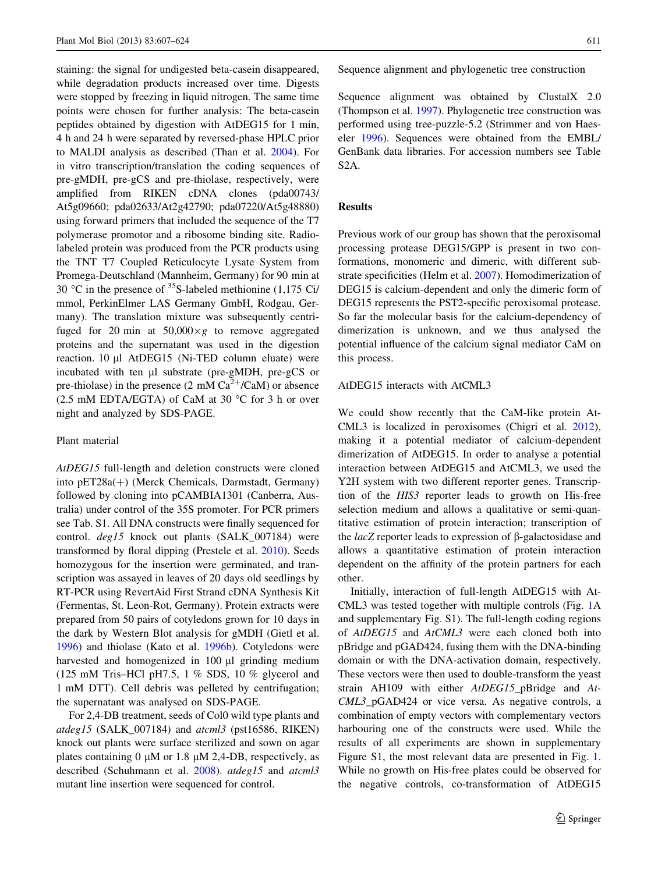staining: the signal for undigested beta-casein disappeared, while degradation products increased over time. Digests were stopped by freezing in liquid nitrogen. The same time points were chosen for further analysis: The beta-casein peptides obtained by digestion with AtDEG15 for 1 min, 4 h and 24 h were separated by reversed-phase HPLC prior to MALDI analysis as described (Than et al. [2004](#page-17-0)). For in vitro transcription/translation the coding sequences of pre-gMDH, pre-gCS and pre-thiolase, respectively, were amplified from RIKEN cDNA clones (pda00743/ At5g09660; pda02633/At2g42790; pda07220/At5g48880) using forward primers that included the sequence of the T7 polymerase promotor and a ribosome binding site. Radiolabeled protein was produced from the PCR products using the TNT T7 Coupled Reticulocyte Lysate System from Promega-Deutschland (Mannheim, Germany) for 90 min at 30 °C in the presence of  $35S$ -labeled methionine (1,175 Ci/ mmol, PerkinElmer LAS Germany GmbH, Rodgau, Germany). The translation mixture was subsequently centrifuged for 20 min at  $50,000 \times g$  to remove aggregated proteins and the supernatant was used in the digestion reaction.  $10 \mu l$  AtDEG15 (Ni-TED column eluate) were incubated with ten ul substrate (pre-gMDH, pre-gCS or pre-thiolase) in the presence (2 mM  $Ca^{2+}/CaM$ ) or absence (2.5 mM EDTA/EGTA) of CaM at 30  $\degree$ C for 3 h or over night and analyzed by SDS-PAGE.

## Plant material

AtDEG15 full-length and deletion constructs were cloned into  $pET28a(+)$  (Merck Chemicals, Darmstadt, Germany) followed by cloning into pCAMBIA1301 (Canberra, Australia) under control of the 35S promoter. For PCR primers see Tab. S1. All DNA constructs were finally sequenced for control. deg15 knock out plants (SALK\_007184) were transformed by floral dipping (Prestele et al. [2010\)](#page-16-0). Seeds homozygous for the insertion were germinated, and transcription was assayed in leaves of 20 days old seedlings by RT-PCR using RevertAid First Strand cDNA Synthesis Kit (Fermentas, St. Leon-Rot, Germany). Protein extracts were prepared from 50 pairs of cotyledons grown for 10 days in the dark by Western Blot analysis for gMDH (Gietl et al. [1996\)](#page-16-0) and thiolase (Kato et al. [1996b\)](#page-16-0). Cotyledons were harvested and homogenized in 100 µl grinding medium (125 mM Tris–HCl pH7.5, 1 % SDS, 10 % glycerol and 1 mM DTT). Cell debris was pelleted by centrifugation; the supernatant was analysed on SDS-PAGE.

For 2,4-DB treatment, seeds of Col0 wild type plants and atdeg15 (SALK  $007184$ ) and atcml3 (pst16586, RIKEN) knock out plants were surface sterilized and sown on agar plates containing  $0 \mu M$  or 1.8  $\mu M$  2,4-DB, respectively, as described (Schuhmann et al. [2008](#page-17-0)). atdeg15 and atcml3 mutant line insertion were sequenced for control.

Sequence alignment and phylogenetic tree construction

Sequence alignment was obtained by ClustalX 2.0 (Thompson et al. [1997](#page-17-0)). Phylogenetic tree construction was performed using tree-puzzle-5.2 (Strimmer and von Haeseler [1996\)](#page-17-0). Sequences were obtained from the EMBL/ GenBank data libraries. For accession numbers see Table S2A.

## **Results**

Previous work of our group has shown that the peroxisomal processing protease DEG15/GPP is present in two conformations, monomeric and dimeric, with different substrate specificities (Helm et al. [2007\)](#page-16-0). Homodimerization of DEG15 is calcium-dependent and only the dimeric form of DEG15 represents the PST2-specific peroxisomal protease. So far the molecular basis for the calcium-dependency of dimerization is unknown, and we thus analysed the potential influence of the calcium signal mediator CaM on this process.

## AtDEG15 interacts with AtCML3

We could show recently that the CaM-like protein At-CML3 is localized in peroxisomes (Chigri et al. [2012](#page-16-0)), making it a potential mediator of calcium-dependent dimerization of AtDEG15. In order to analyse a potential interaction between AtDEG15 and AtCML3, we used the Y2H system with two different reporter genes. Transcription of the HIS3 reporter leads to growth on His-free selection medium and allows a qualitative or semi-quantitative estimation of protein interaction; transcription of the  $lacZ$  reporter leads to expression of  $\beta$ -galactosidase and allows a quantitative estimation of protein interaction dependent on the affinity of the protein partners for each other.

Initially, interaction of full-length AtDEG15 with At-CML3 was tested together with multiple controls (Fig. [1](#page-5-0)A and supplementary Fig. S1). The full-length coding regions of AtDEG15 and AtCML3 were each cloned both into pBridge and pGAD424, fusing them with the DNA-binding domain or with the DNA-activation domain, respectively. These vectors were then used to double-transform the yeast strain AH109 with either AtDEG15\_pBridge and At-CML3\_pGAD424 or vice versa. As negative controls, a combination of empty vectors with complementary vectors harbouring one of the constructs were used. While the results of all experiments are shown in supplementary Figure S1, the most relevant data are presented in Fig. [1.](#page-5-0) While no growth on His-free plates could be observed for the negative controls, co-transformation of AtDEG15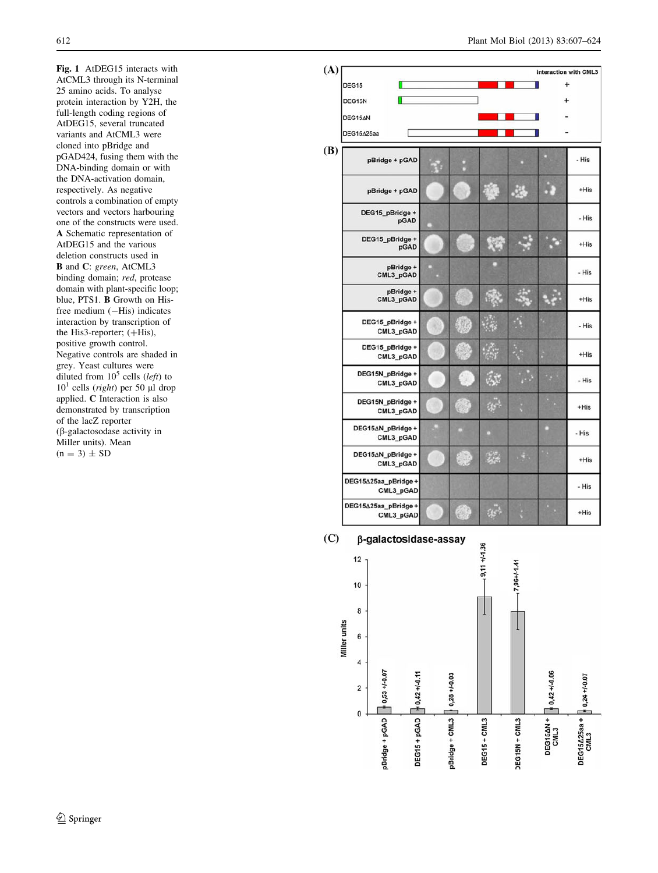<span id="page-5-0"></span>Fig. 1 AtDEG15 interacts with AtCML3 through its N-terminal 25 amino acids. To analyse protein interaction by Y2H, the full-length coding regions of AtDEG15, several truncated variants and AtCML3 were cloned into pBridge and pGAD424, fusing them with the DNA-binding domain or with the DNA-activation domain, respectively. As negative controls a combination of empty vectors and vectors harbouring one of the constructs were used. A Schematic representation of AtDEG15 and the various deletion constructs used in B and C: green, AtCML3 binding domain; red, protease domain with plant-specific loop; blue, PTS1. B Growth on Hisfree medium  $(-His)$  indicates interaction by transcription of the His3-reporter;  $(+**His**)$ , positive growth control. Negative controls are shaded in grey. Yeast cultures were diluted from  $10^5$  cells (left) to  $10<sup>1</sup>$  cells (*right*) per 50 µl drop applied. C Interaction is also demonstrated by transcription of the lacZ reporter (b-galactosodase activity in Miller units). Mean  $(n = 3) \pm SD$ 

|                                   |  |    |               |                 |           | interaction with CML3 |
|-----------------------------------|--|----|---------------|-----------------|-----------|-----------------------|
| DEG15                             |  |    |               |                 | +         |                       |
| DEG15N                            |  |    |               |                 | $\ddot{}$ |                       |
| DEG15AN                           |  |    |               |                 |           |                       |
| DEG15A25aa                        |  |    |               |                 |           |                       |
| pBridge + pGAD                    |  |    |               |                 |           | - His                 |
| pBridge + pGAD                    |  |    |               | . 3             |           | $+$ His               |
| DEG15_pBridge +<br>pGAD           |  |    |               |                 |           | - His                 |
| DEG15_pBridge +<br>pGAD           |  |    |               |                 |           | $+His$                |
| pBridge +<br>CML3_pGAD            |  |    |               |                 |           | - His                 |
| pBridge +<br>CML3_pGAD            |  |    |               |                 |           | $+His$                |
| DEG15_pBridge +<br>CML3_pGAD      |  |    |               |                 |           | - His                 |
| DEG15_pBridge +<br>CML3_pGAD      |  |    |               |                 |           | $+His$                |
| DEG15N_pBridge +<br>CML3_pGAD     |  |    | الأية.        |                 |           | - His                 |
| DEG15N_pBridge +<br>CML3_pGAD     |  |    | as"           |                 |           | $+$ His               |
| DEG15AN_pBridge +<br>CML3_pGAD    |  |    | о             |                 |           | - His                 |
| DEG15∆N_pBridge +<br>CML3_pGAD    |  |    | $\mathcal{L}$ | $\frac{4}{3}$ . |           | $+His$                |
| DEG15∆25aa_pBridge+<br>CML3_pGAD  |  |    |               |                 |           | - His                 |
| DEG15∆25aa_pBridge +<br>CML3_pGAD |  | e. | ge.           |                 |           | $+His$                |

 $(C)$ β-galactosidase-assay

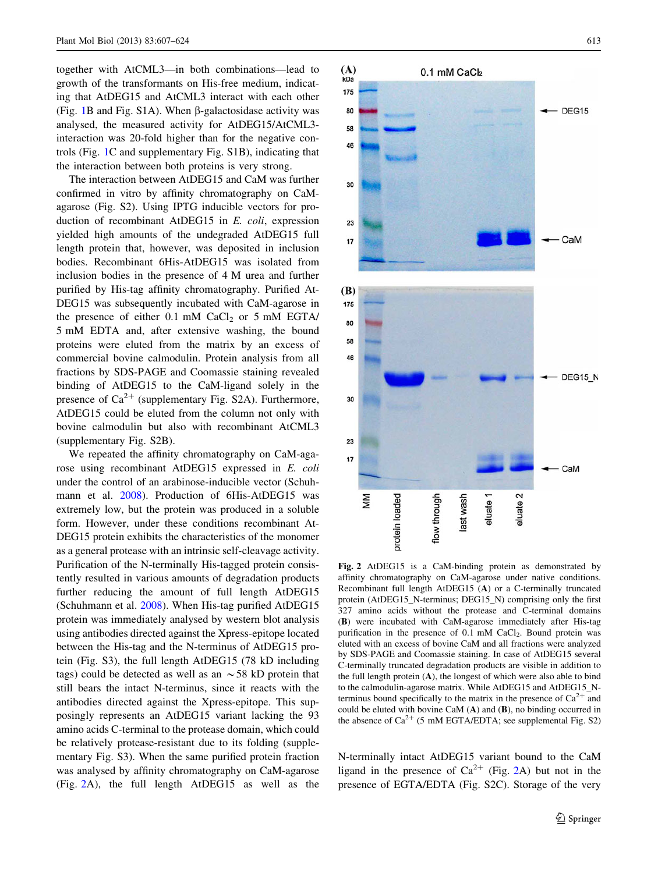<span id="page-6-0"></span>together with AtCML3—in both combinations—lead to growth of the transformants on His-free medium, indicating that AtDEG15 and AtCML3 interact with each other (Fig. [1](#page-5-0)B and Fig. S1A). When  $\beta$ -galactosidase activity was analysed, the measured activity for AtDEG15/AtCML3 interaction was 20-fold higher than for the negative controls (Fig. [1C](#page-5-0) and supplementary Fig. S1B), indicating that the interaction between both proteins is very strong.

The interaction between AtDEG15 and CaM was further confirmed in vitro by affinity chromatography on CaMagarose (Fig. S2). Using IPTG inducible vectors for production of recombinant AtDEG15 in E. coli, expression yielded high amounts of the undegraded AtDEG15 full length protein that, however, was deposited in inclusion bodies. Recombinant 6His-AtDEG15 was isolated from inclusion bodies in the presence of 4 M urea and further purified by His-tag affinity chromatography. Purified At-DEG15 was subsequently incubated with CaM-agarose in the presence of either  $0.1 \text{ mM }$  CaCl<sub>2</sub> or 5 mM EGTA/ 5 mM EDTA and, after extensive washing, the bound proteins were eluted from the matrix by an excess of commercial bovine calmodulin. Protein analysis from all fractions by SDS-PAGE and Coomassie staining revealed binding of AtDEG15 to the CaM-ligand solely in the presence of  $Ca^{2+}$  (supplementary Fig. S2A). Furthermore, AtDEG15 could be eluted from the column not only with bovine calmodulin but also with recombinant AtCML3 (supplementary Fig. S2B).

We repeated the affinity chromatography on CaM-agarose using recombinant AtDEG15 expressed in E. coli under the control of an arabinose-inducible vector (Schuhmann et al. [2008\)](#page-17-0). Production of 6His-AtDEG15 was extremely low, but the protein was produced in a soluble form. However, under these conditions recombinant At-DEG15 protein exhibits the characteristics of the monomer as a general protease with an intrinsic self-cleavage activity. Purification of the N-terminally His-tagged protein consistently resulted in various amounts of degradation products further reducing the amount of full length AtDEG15 (Schuhmann et al. [2008](#page-17-0)). When His-tag purified AtDEG15 protein was immediately analysed by western blot analysis using antibodies directed against the Xpress-epitope located between the His-tag and the N-terminus of AtDEG15 protein (Fig. S3), the full length AtDEG15 (78 kD including tags) could be detected as well as an  $\sim$  58 kD protein that still bears the intact N-terminus, since it reacts with the antibodies directed against the Xpress-epitope. This supposingly represents an AtDEG15 variant lacking the 93 amino acids C-terminal to the protease domain, which could be relatively protease-resistant due to its folding (supplementary Fig. S3). When the same purified protein fraction was analysed by affinity chromatography on CaM-agarose (Fig. 2A), the full length AtDEG15 as well as the



Fig. 2 AtDEG15 is a CaM-binding protein as demonstrated by affinity chromatography on CaM-agarose under native conditions. Recombinant full length AtDEG15 (A) or a C-terminally truncated protein (AtDEG15\_N-terminus; DEG15\_N) comprising only the first 327 amino acids without the protease and C-terminal domains (B) were incubated with CaM-agarose immediately after His-tag purification in the presence of 0.1 mM CaCl<sub>2</sub>. Bound protein was eluted with an excess of bovine CaM and all fractions were analyzed by SDS-PAGE and Coomassie staining. In case of AtDEG15 several C-terminally truncated degradation products are visible in addition to the full length protein  $(A)$ , the longest of which were also able to bind to the calmodulin-agarose matrix. While AtDEG15 and AtDEG15\_Nterminus bound specifically to the matrix in the presence of  $Ca^{2+}$  and could be eluted with bovine CaM (A) and (B), no binding occurred in the absence of  $Ca^{2+}$  (5 mM EGTA/EDTA; see supplemental Fig. S2)

N-terminally intact AtDEG15 variant bound to the CaM ligand in the presence of  $Ca^{2+}$  (Fig. 2A) but not in the presence of EGTA/EDTA (Fig. S2C). Storage of the very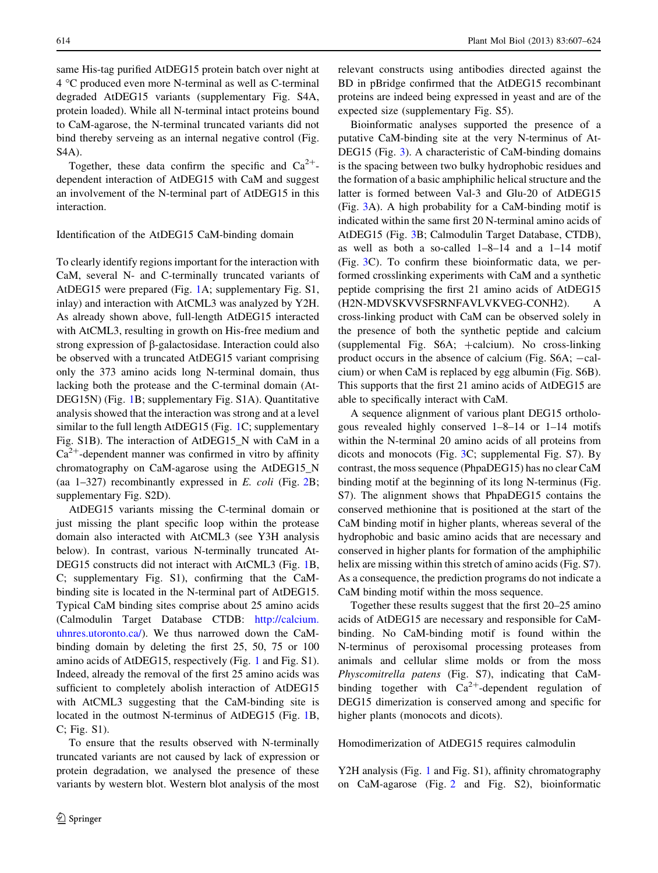same His-tag purified AtDEG15 protein batch over night at 4 C produced even more N-terminal as well as C-terminal degraded AtDEG15 variants (supplementary Fig. S4A, protein loaded). While all N-terminal intact proteins bound to CaM-agarose, the N-terminal truncated variants did not bind thereby serveing as an internal negative control (Fig. S4A).

Together, these data confirm the specific and  $Ca^{2+}$ dependent interaction of AtDEG15 with CaM and suggest an involvement of the N-terminal part of AtDEG15 in this interaction.

#### Identification of the AtDEG15 CaM-binding domain

To clearly identify regions important for the interaction with CaM, several N- and C-terminally truncated variants of AtDEG15 were prepared (Fig. [1](#page-5-0)A; supplementary Fig. S1, inlay) and interaction with AtCML3 was analyzed by Y2H. As already shown above, full-length AtDEG15 interacted with AtCML3, resulting in growth on His-free medium and strong expression of β-galactosidase. Interaction could also be observed with a truncated AtDEG15 variant comprising only the 373 amino acids long N-terminal domain, thus lacking both the protease and the C-terminal domain (At-DEG15N) (Fig. [1B](#page-5-0); supplementary Fig. S1A). Quantitative analysis showed that the interaction was strong and at a level similar to the full length AtDEG15 (Fig. [1C](#page-5-0); supplementary Fig. S1B). The interaction of AtDEG15\_N with CaM in a  $Ca<sup>2+</sup>$ -dependent manner was confirmed in vitro by affinity chromatography on CaM-agarose using the AtDEG15\_N (aa  $1-327$ ) recombinantly expressed in E. coli (Fig. [2B](#page-6-0); supplementary Fig. S2D).

AtDEG15 variants missing the C-terminal domain or just missing the plant specific loop within the protease domain also interacted with AtCML3 (see Y3H analysis below). In contrast, various N-terminally truncated At-DEG15 constructs did not interact with AtCML3 (Fig. [1](#page-5-0)B, C; supplementary Fig. S1), confirming that the CaMbinding site is located in the N-terminal part of AtDEG15. Typical CaM binding sites comprise about 25 amino acids (Calmodulin Target Database CTDB: [http://calcium.](http://calcium.uhnres.utoronto.ca/) [uhnres.utoronto.ca/](http://calcium.uhnres.utoronto.ca/)). We thus narrowed down the CaMbinding domain by deleting the first 25, 50, 75 or 100 amino acids of AtDEG15, respectively (Fig. [1](#page-5-0) and Fig. S1). Indeed, already the removal of the first 25 amino acids was sufficient to completely abolish interaction of AtDEG15 with AtCML3 suggesting that the CaM-binding site is located in the outmost N-terminus of AtDEG15 (Fig. [1](#page-5-0)B, C; Fig. S1).

To ensure that the results observed with N-terminally truncated variants are not caused by lack of expression or protein degradation, we analysed the presence of these variants by western blot. Western blot analysis of the most relevant constructs using antibodies directed against the BD in pBridge confirmed that the AtDEG15 recombinant proteins are indeed being expressed in yeast and are of the expected size (supplementary Fig. S5).

Bioinformatic analyses supported the presence of a putative CaM-binding site at the very N-terminus of At-DEG15 (Fig. [3\)](#page-8-0). A characteristic of CaM-binding domains is the spacing between two bulky hydrophobic residues and the formation of a basic amphiphilic helical structure and the latter is formed between Val-3 and Glu-20 of AtDEG15 (Fig. [3A](#page-8-0)). A high probability for a CaM-binding motif is indicated within the same first 20 N-terminal amino acids of AtDEG15 (Fig. [3](#page-8-0)B; Calmodulin Target Database, CTDB), as well as both a so-called 1–8–14 and a 1–14 motif (Fig. [3C](#page-8-0)). To confirm these bioinformatic data, we performed crosslinking experiments with CaM and a synthetic peptide comprising the first 21 amino acids of AtDEG15 (H2N-MDVSKVVSFSRNFAVLVKVEG-CONH2). A cross-linking product with CaM can be observed solely in the presence of both the synthetic peptide and calcium (supplemental Fig.  $S6A$ ;  $+calium$ ). No cross-linking product occurs in the absence of calcium (Fig. S6A; -calcium) or when CaM is replaced by egg albumin (Fig. S6B). This supports that the first 21 amino acids of AtDEG15 are able to specifically interact with CaM.

A sequence alignment of various plant DEG15 orthologous revealed highly conserved 1–8–14 or 1–14 motifs within the N-terminal 20 amino acids of all proteins from dicots and monocots (Fig. [3](#page-8-0)C; supplemental Fig. S7). By contrast, the moss sequence (PhpaDEG15) has no clear CaM binding motif at the beginning of its long N-terminus (Fig. S7). The alignment shows that PhpaDEG15 contains the conserved methionine that is positioned at the start of the CaM binding motif in higher plants, whereas several of the hydrophobic and basic amino acids that are necessary and conserved in higher plants for formation of the amphiphilic helix are missing within this stretch of amino acids (Fig. S7). As a consequence, the prediction programs do not indicate a CaM binding motif within the moss sequence.

Together these results suggest that the first 20–25 amino acids of AtDEG15 are necessary and responsible for CaMbinding. No CaM-binding motif is found within the N-terminus of peroxisomal processing proteases from animals and cellular slime molds or from the moss Physcomitrella patens (Fig. S7), indicating that CaMbinding together with  $Ca^{2+}$ -dependent regulation of DEG15 dimerization is conserved among and specific for higher plants (monocots and dicots).

Homodimerization of AtDEG15 requires calmodulin

Y2H analysis (Fig. [1](#page-5-0) and Fig. S1), affinity chromatography on CaM-agarose (Fig. [2](#page-6-0) and Fig. S2), bioinformatic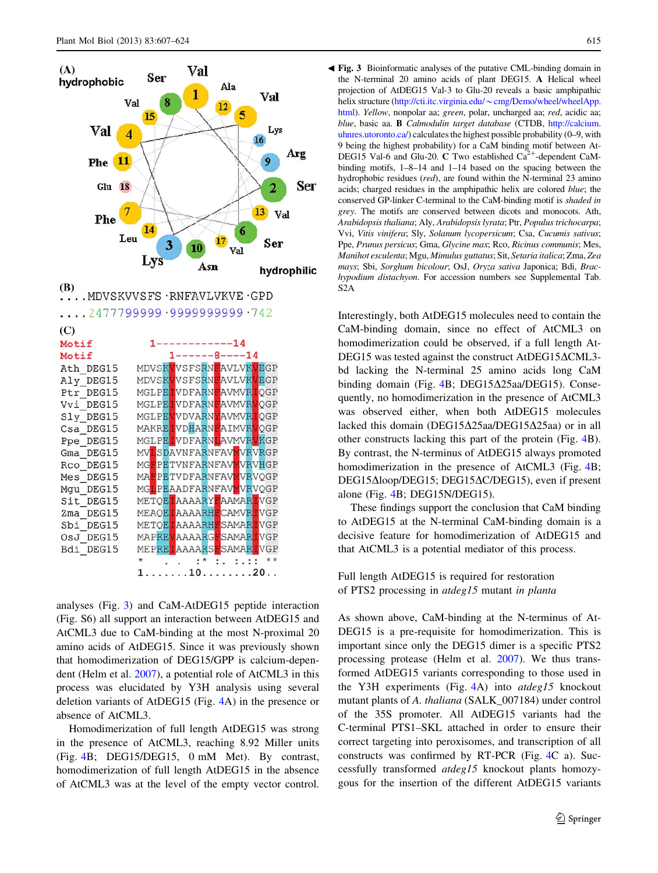<span id="page-8-0"></span>

MGLPEIVDFARNLAVMVRVKGP Ppe DEG15 MVLSDAVNFARNFAVMVRVRGP Gma DEG15 MGFPETVNFARNFAVMVRVHGP Rco DEG15 MAFPETVDFARNFAVMVRVQGP Mes DEG15 MGLPEAADFARNFAVMVRVQGP Mgu\_DEG15 Sit\_DEG15 METQEIAAAARYFAAMARIVGP MEAQEIAAAARHFCAMVRIVGP Zma DEG15 METQETAAAARHFSAMARTVGP Sbi DEG15 MAPREVAAAARGFSAMARIVGP OsJ DEG15 Bdi DEG15 MEPREIAAAARSFSAMARIVGP  $\ldots$  :\* :. :.:: \*\*  $\star$  $1 \ldots \ldots 10 \ldots \ldots 20 \ldots$ 

analyses (Fig. 3) and CaM-AtDEG15 peptide interaction (Fig. S6) all support an interaction between AtDEG15 and AtCML3 due to CaM-binding at the most N-proximal 20 amino acids of AtDEG15. Since it was previously shown that homodimerization of DEG15/GPP is calcium-dependent (Helm et al. [2007\)](#page-16-0), a potential role of AtCML3 in this process was elucidated by Y3H analysis using several deletion variants of AtDEG15 (Fig. [4](#page-10-0)A) in the presence or absence of AtCML3.

Homodimerization of full length AtDEG15 was strong in the presence of AtCML3, reaching 8.92 Miller units (Fig. [4](#page-10-0)B; DEG15/DEG15, 0 mM Met). By contrast, homodimerization of full length AtDEG15 in the absence of AtCML3 was at the level of the empty vector control.

Fig. 3 Bioinformatic analyses of the putative CML-binding domain in b the N-terminal 20 amino acids of plant DEG15. A Helical wheel projection of AtDEG15 Val-3 to Glu-20 reveals a basic amphipathic helix structure (http://cti.itc.virginia.edu/~[cmg/Demo/wheel/wheelApp.](http://cti.itc.virginia.edu/~cmg/Demo/wheel/wheelApp.html) [html](http://cti.itc.virginia.edu/~cmg/Demo/wheel/wheelApp.html)). Yellow, nonpolar aa; green, polar, uncharged aa; red, acidic aa; blue, basic aa. B Calmodulin target database (CTDB, [http://calcium.](http://calcium.uhnres.utoronto.ca/) [uhnres.utoronto.ca/](http://calcium.uhnres.utoronto.ca/)) calculates the highest possible probability (0–9, with 9 being the highest probability) for a CaM binding motif between At-DEG15 Val-6 and Glu-20. C Two established  $Ca^{2+}$ -dependent CaMbinding motifs, 1–8–14 and 1–14 based on the spacing between the hydrophobic residues (red), are found within the N-terminal 23 amino acids; charged residues in the amphipathic helix are colored blue; the conserved GP-linker C-terminal to the CaM-binding motif is shaded in grey. The motifs are conserved between dicots and monocots. Ath, Arabidopsis thaliana; Aly, Arabidopsis lyrata; Ptr, Populus trichocarpa; Vvi, Vitis vinifera; Sly, Solanum lycopersicum; Csa, Cucumis sativus; Ppe, Prunus persicus; Gma, Glycine max; Rco, Ricinus communis; Mes, Manihot esculenta; Mgu, Mimulus guttatus; Sit, Setaria italica; Zma, Zea mays; Sbi, Sorghum bicolour; OsJ, Oryza sativa Japonica; Bdi, Brachypodium distachyon. For accession numbers see Supplemental Tab. S2A

Interestingly, both AtDEG15 molecules need to contain the CaM-binding domain, since no effect of AtCML3 on homodimerization could be observed, if a full length At-DEG15 was tested against the construct AtDEG15 $\Delta$ CML3bd lacking the N-terminal 25 amino acids long CaM binding domain (Fig. [4B](#page-10-0);  $DEG15\Delta25$ aa/DEG15). Consequently, no homodimerization in the presence of AtCML3 was observed either, when both AtDEG15 molecules lacked this domain (DEG15 $\Delta$ 25aa/DEG15 $\Delta$ 25aa) or in all other constructs lacking this part of the protein (Fig. [4B](#page-10-0)). By contrast, the N-terminus of AtDEG15 always promoted homodimerization in the presence of AtCML3 (Fig. [4B](#page-10-0); DEG15Δloop/DEG15; DEG15ΔC/DEG15), even if present alone (Fig. [4B](#page-10-0); DEG15N/DEG15).

These findings support the conclusion that CaM binding to AtDEG15 at the N-terminal CaM-binding domain is a decisive feature for homodimerization of AtDEG15 and that AtCML3 is a potential mediator of this process.

Full length AtDEG15 is required for restoration of PTS2 processing in atdeg15 mutant in planta

As shown above, CaM-binding at the N-terminus of At-DEG15 is a pre-requisite for homodimerization. This is important since only the DEG15 dimer is a specific PTS2 processing protease (Helm et al. [2007\)](#page-16-0). We thus transformed AtDEG15 variants corresponding to those used in the Y3H experiments (Fig. [4](#page-10-0)A) into atdeg15 knockout mutant plants of A. *thaliana* (SALK 007184) under control of the 35S promoter. All AtDEG15 variants had the C-terminal PTS1–SKL attached in order to ensure their correct targeting into peroxisomes, and transcription of all constructs was confirmed by RT-PCR (Fig. [4](#page-10-0)C a). Successfully transformed atdeg15 knockout plants homozygous for the insertion of the different AtDEG15 variants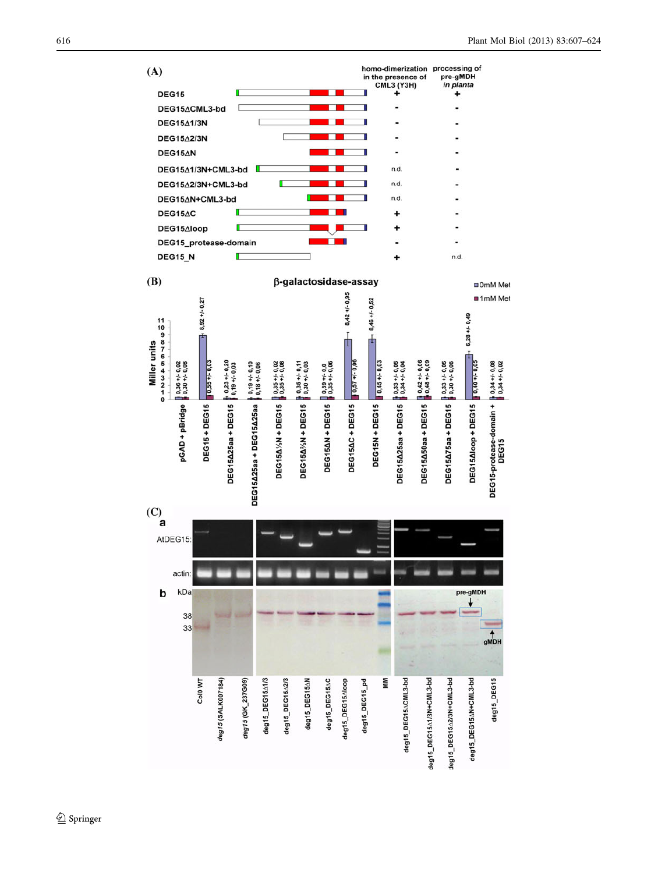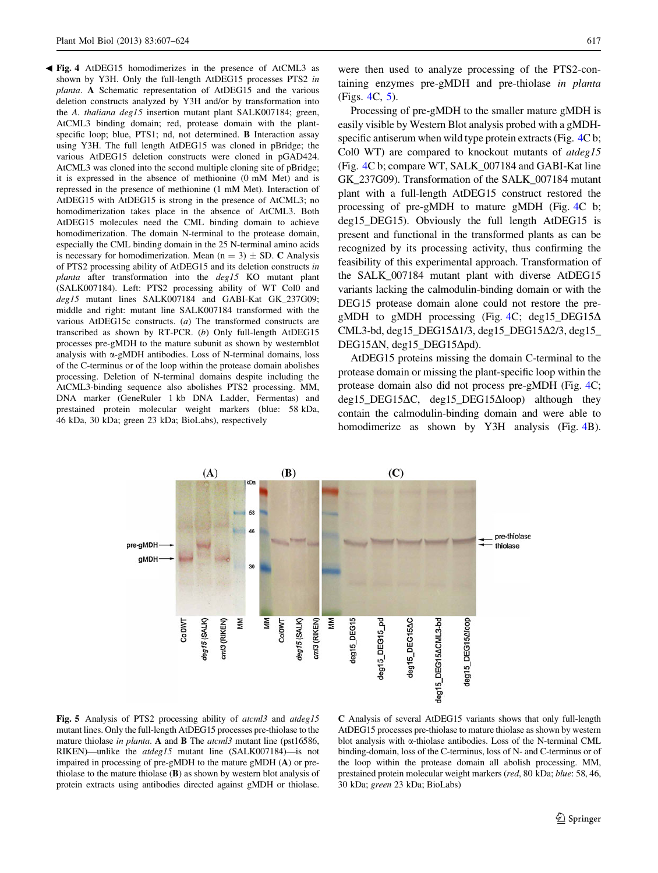<span id="page-10-0"></span>Fig. 4 AtDEG15 homodimerizes in the presence of AtCML3 as b shown by Y3H. Only the full-length AtDEG15 processes PTS2 in planta. A Schematic representation of AtDEG15 and the various deletion constructs analyzed by Y3H and/or by transformation into the A. thaliana deg15 insertion mutant plant SALK007184; green, AtCML3 binding domain; red, protease domain with the plantspecific loop; blue, PTS1; nd, not determined. **B** Interaction assay using Y3H. The full length AtDEG15 was cloned in pBridge; the various AtDEG15 deletion constructs were cloned in pGAD424. AtCML3 was cloned into the second multiple cloning site of pBridge; it is expressed in the absence of methionine (0 mM Met) and is repressed in the presence of methionine (1 mM Met). Interaction of AtDEG15 with AtDEG15 is strong in the presence of AtCML3; no homodimerization takes place in the absence of AtCML3. Both AtDEG15 molecules need the CML binding domain to achieve homodimerization. The domain N-terminal to the protease domain, especially the CML binding domain in the 25 N-terminal amino acids is necessary for homodimerization. Mean  $(n = 3) \pm SD$ . C Analysis of PTS2 processing ability of AtDEG15 and its deletion constructs in planta after transformation into the deg15 KO mutant plant (SALK007184). Left: PTS2 processing ability of WT Col0 and deg15 mutant lines SALK007184 and GABI-Kat GK\_237G09; middle and right: mutant line SALK007184 transformed with the various AtDEG15c constructs. (a) The transformed constructs are transcribed as shown by RT-PCR. (b) Only full-length AtDEG15 processes pre-gMDH to the mature subunit as shown by westernblot analysis with a-gMDH antibodies. Loss of N-terminal domains, loss of the C-terminus or of the loop within the protease domain abolishes processing. Deletion of N-terminal domains despite including the AtCML3-binding sequence also abolishes PTS2 processing. MM, DNA marker (GeneRuler 1 kb DNA Ladder, Fermentas) and prestained protein molecular weight markers (blue: 58 kDa, 46 kDa, 30 kDa; green 23 kDa; BioLabs), respectively

were then used to analyze processing of the PTS2-containing enzymes pre-gMDH and pre-thiolase in planta (Figs. 4C, 5).

Processing of pre-gMDH to the smaller mature gMDH is easily visible by Western Blot analysis probed with a gMDHspecific antiserum when wild type protein extracts (Fig. 4C b; Col0 WT) are compared to knockout mutants of atdeg15 (Fig. 4C b; compare WT, SALK\_007184 and GABI-Kat line GK\_237G09). Transformation of the SALK\_007184 mutant plant with a full-length AtDEG15 construct restored the processing of pre-gMDH to mature gMDH (Fig. 4C b; deg15\_DEG15). Obviously the full length AtDEG15 is present and functional in the transformed plants as can be recognized by its processing activity, thus confirming the feasibility of this experimental approach. Transformation of the SALK\_007184 mutant plant with diverse AtDEG15 variants lacking the calmodulin-binding domain or with the DEG15 protease domain alone could not restore the pregMDH to gMDH processing (Fig. 4C; deg15\_DEG15 $\Delta$ CML3-bd, deg15\_DEG15 $\Delta$ 1/3, deg15\_DEG15 $\Delta$ 2/3, deg15\_ DEG15 $\Delta$ N, deg15 DEG15 $\Delta$ pd).

AtDEG15 proteins missing the domain C-terminal to the protease domain or missing the plant-specific loop within the protease domain also did not process pre-gMDH (Fig. 4C;  $deg15$ \_DEG15 $\Delta$ C, deg15\_DEG15 $\Delta$ loop) although they contain the calmodulin-binding domain and were able to homodimerize as shown by Y3H analysis (Fig. 4B).



Fig. 5 Analysis of PTS2 processing ability of *atcml3* and *atdeg15* mutant lines. Only the full-length AtDEG15 processes pre-thiolase to the mature thiolase in planta. A and **B** The atcml3 mutant line (pst16586, RIKEN)—unlike the atdeg15 mutant line (SALK007184)—is not impaired in processing of pre-gMDH to the mature gMDH (A) or prethiolase to the mature thiolase (B) as shown by western blot analysis of protein extracts using antibodies directed against gMDH or thiolase.

C Analysis of several AtDEG15 variants shows that only full-length AtDEG15 processes pre-thiolase to mature thiolase as shown by western blot analysis with  $\alpha$ -thiolase antibodies. Loss of the N-terminal CML binding-domain, loss of the C-terminus, loss of N- and C-terminus or of the loop within the protease domain all abolish processing. MM, prestained protein molecular weight markers (red, 80 kDa; blue: 58, 46, 30 kDa; green 23 kDa; BioLabs)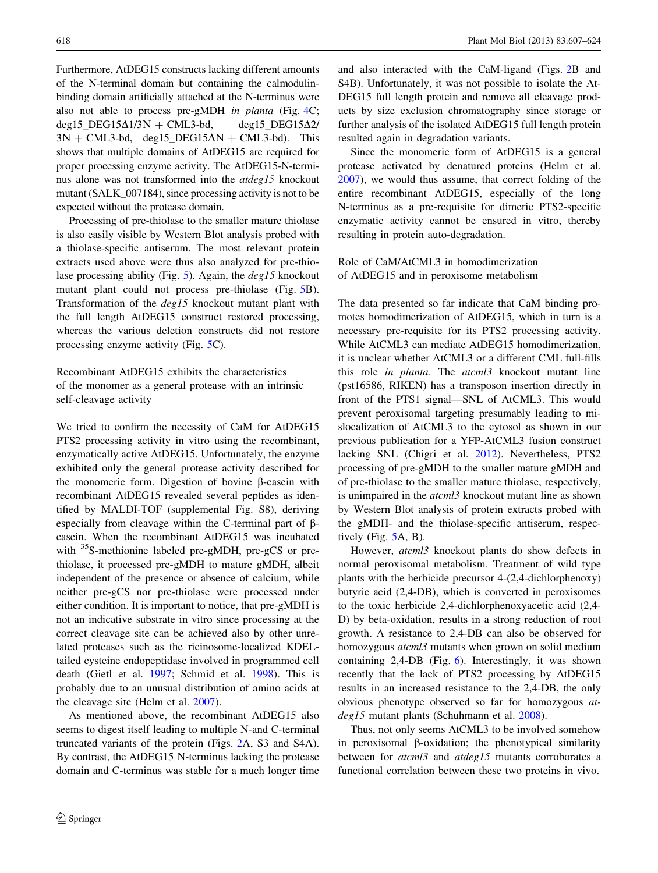Furthermore, AtDEG15 constructs lacking different amounts of the N-terminal domain but containing the calmodulinbinding domain artificially attached at the N-terminus were also not able to process pre-gMDH in planta (Fig. [4C](#page-10-0); deg15 DEG15 $\Delta$ 1/3N + CML3-bd, deg15 DEG15 $\Delta$ 2/  $3N + CML3-bd$ , deg15 DEG15 $\Delta N + CML3-bd$ . This shows that multiple domains of AtDEG15 are required for proper processing enzyme activity. The AtDEG15-N-terminus alone was not transformed into the atdeg15 knockout mutant (SALK\_007184), since processing activity is not to be expected without the protease domain.

Processing of pre-thiolase to the smaller mature thiolase is also easily visible by Western Blot analysis probed with a thiolase-specific antiserum. The most relevant protein extracts used above were thus also analyzed for pre-thiolase processing ability (Fig. [5](#page-10-0)). Again, the deg15 knockout mutant plant could not process pre-thiolase (Fig. [5B](#page-10-0)). Transformation of the deg15 knockout mutant plant with the full length AtDEG15 construct restored processing, whereas the various deletion constructs did not restore processing enzyme activity (Fig. [5](#page-10-0)C).

Recombinant AtDEG15 exhibits the characteristics of the monomer as a general protease with an intrinsic self-cleavage activity

We tried to confirm the necessity of CaM for AtDEG15 PTS2 processing activity in vitro using the recombinant, enzymatically active AtDEG15. Unfortunately, the enzyme exhibited only the general protease activity described for the monomeric form. Digestion of bovine  $\beta$ -casein with recombinant AtDEG15 revealed several peptides as identified by MALDI-TOF (supplemental Fig. S8), deriving especially from cleavage within the C-terminal part of  $\beta$ casein. When the recombinant AtDEG15 was incubated with <sup>35</sup>S-methionine labeled pre-gMDH, pre-gCS or prethiolase, it processed pre-gMDH to mature gMDH, albeit independent of the presence or absence of calcium, while neither pre-gCS nor pre-thiolase were processed under either condition. It is important to notice, that pre-gMDH is not an indicative substrate in vitro since processing at the correct cleavage site can be achieved also by other unrelated proteases such as the ricinosome-localized KDELtailed cysteine endopeptidase involved in programmed cell death (Gietl et al. [1997](#page-16-0); Schmid et al. [1998\)](#page-17-0). This is probably due to an unusual distribution of amino acids at the cleavage site (Helm et al. [2007\)](#page-16-0).

As mentioned above, the recombinant AtDEG15 also seems to digest itself leading to multiple N-and C-terminal truncated variants of the protein (Figs. [2A](#page-6-0), S3 and S4A). By contrast, the AtDEG15 N-terminus lacking the protease domain and C-terminus was stable for a much longer time and also interacted with the CaM-ligand (Figs. [2B](#page-6-0) and S4B). Unfortunately, it was not possible to isolate the At-DEG15 full length protein and remove all cleavage products by size exclusion chromatography since storage or further analysis of the isolated AtDEG15 full length protein resulted again in degradation variants.

Since the monomeric form of AtDEG15 is a general protease activated by denatured proteins (Helm et al. [2007](#page-16-0)), we would thus assume, that correct folding of the entire recombinant AtDEG15, especially of the long N-terminus as a pre-requisite for dimeric PTS2-specific enzymatic activity cannot be ensured in vitro, thereby resulting in protein auto-degradation.

Role of CaM/AtCML3 in homodimerization of AtDEG15 and in peroxisome metabolism

The data presented so far indicate that CaM binding promotes homodimerization of AtDEG15, which in turn is a necessary pre-requisite for its PTS2 processing activity. While AtCML3 can mediate AtDEG15 homodimerization, it is unclear whether AtCML3 or a different CML full-fills this role in planta. The atcml3 knockout mutant line (pst16586, RIKEN) has a transposon insertion directly in front of the PTS1 signal—SNL of AtCML3. This would prevent peroxisomal targeting presumably leading to mislocalization of AtCML3 to the cytosol as shown in our previous publication for a YFP-AtCML3 fusion construct lacking SNL (Chigri et al. [2012](#page-16-0)). Nevertheless, PTS2 processing of pre-gMDH to the smaller mature gMDH and of pre-thiolase to the smaller mature thiolase, respectively, is unimpaired in the atcml3 knockout mutant line as shown by Western Blot analysis of protein extracts probed with the gMDH- and the thiolase-specific antiserum, respectively (Fig. [5A](#page-10-0), B).

However, *atcml3* knockout plants do show defects in normal peroxisomal metabolism. Treatment of wild type plants with the herbicide precursor 4-(2,4-dichlorphenoxy) butyric acid (2,4-DB), which is converted in peroxisomes to the toxic herbicide 2,4-dichlorphenoxyacetic acid (2,4- D) by beta-oxidation, results in a strong reduction of root growth. A resistance to 2,4-DB can also be observed for homozygous *atcml3* mutants when grown on solid medium containing 2,4-DB (Fig. [6](#page-12-0)). Interestingly, it was shown recently that the lack of PTS2 processing by AtDEG15 results in an increased resistance to the 2,4-DB, the only obvious phenotype observed so far for homozygous atdeg15 mutant plants (Schuhmann et al. [2008\)](#page-17-0).

Thus, not only seems AtCML3 to be involved somehow in peroxisomal  $\beta$ -oxidation; the phenotypical similarity between for *atcml3* and *atdeg15* mutants corroborates a functional correlation between these two proteins in vivo.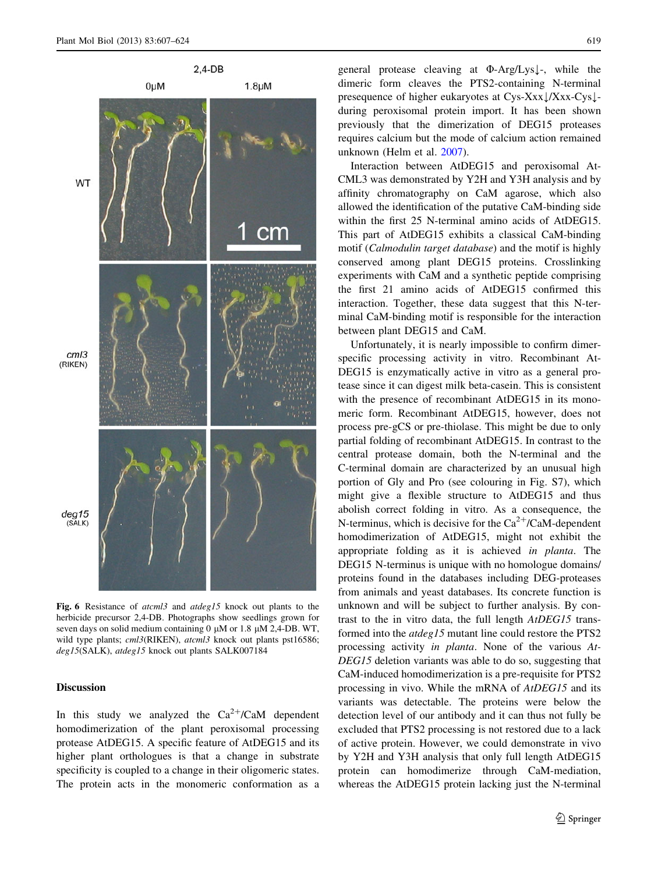<span id="page-12-0"></span>

Fig. 6 Resistance of atcml3 and atdeg15 knock out plants to the herbicide precursor 2,4-DB. Photographs show seedlings grown for seven days on solid medium containing  $0 \mu M$  or 1.8  $\mu M$  2,4-DB. WT, wild type plants; cml3(RIKEN), atcml3 knock out plants pst16586; deg15(SALK), atdeg15 knock out plants SALK007184

## Discussion

In this study we analyzed the  $Ca^{2+}/CaM$  dependent homodimerization of the plant peroxisomal processing protease AtDEG15. A specific feature of AtDEG15 and its higher plant orthologues is that a change in substrate specificity is coupled to a change in their oligomeric states. The protein acts in the monomeric conformation as a general protease cleaving at  $\Phi$ -Arg/Lys $\downarrow$ -, while the dimeric form cleaves the PTS2-containing N-terminal presequence of higher eukaryotes at  $Cys-Xxx$   $\frac{\sqrt{X}xx-Cys}{-}$ during peroxisomal protein import. It has been shown previously that the dimerization of DEG15 proteases requires calcium but the mode of calcium action remained unknown (Helm et al. [2007](#page-16-0)).

Interaction between AtDEG15 and peroxisomal At-CML3 was demonstrated by Y2H and Y3H analysis and by affinity chromatography on CaM agarose, which also allowed the identification of the putative CaM-binding side within the first 25 N-terminal amino acids of AtDEG15. This part of AtDEG15 exhibits a classical CaM-binding motif (Calmodulin target database) and the motif is highly conserved among plant DEG15 proteins. Crosslinking experiments with CaM and a synthetic peptide comprising the first 21 amino acids of AtDEG15 confirmed this interaction. Together, these data suggest that this N-terminal CaM-binding motif is responsible for the interaction between plant DEG15 and CaM.

Unfortunately, it is nearly impossible to confirm dimerspecific processing activity in vitro. Recombinant At-DEG15 is enzymatically active in vitro as a general protease since it can digest milk beta-casein. This is consistent with the presence of recombinant AtDEG15 in its monomeric form. Recombinant AtDEG15, however, does not process pre-gCS or pre-thiolase. This might be due to only partial folding of recombinant AtDEG15. In contrast to the central protease domain, both the N-terminal and the C-terminal domain are characterized by an unusual high portion of Gly and Pro (see colouring in Fig. S7), which might give a flexible structure to AtDEG15 and thus abolish correct folding in vitro. As a consequence, the N-terminus, which is decisive for the  $Ca^{2+}/CaM$ -dependent homodimerization of AtDEG15, might not exhibit the appropriate folding as it is achieved in planta. The DEG15 N-terminus is unique with no homologue domains/ proteins found in the databases including DEG-proteases from animals and yeast databases. Its concrete function is unknown and will be subject to further analysis. By contrast to the in vitro data, the full length AtDEG15 transformed into the atdeg15 mutant line could restore the PTS2 processing activity in planta. None of the various At-DEG15 deletion variants was able to do so, suggesting that CaM-induced homodimerization is a pre-requisite for PTS2 processing in vivo. While the mRNA of AtDEG15 and its variants was detectable. The proteins were below the detection level of our antibody and it can thus not fully be excluded that PTS2 processing is not restored due to a lack of active protein. However, we could demonstrate in vivo by Y2H and Y3H analysis that only full length AtDEG15 protein can homodimerize through CaM-mediation, whereas the AtDEG15 protein lacking just the N-terminal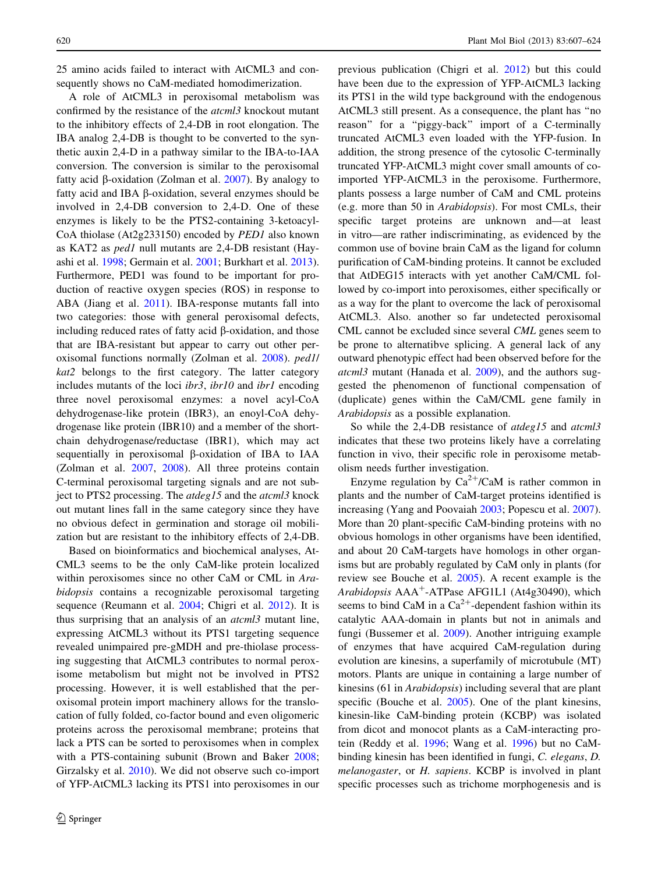25 amino acids failed to interact with AtCML3 and consequently shows no CaM-mediated homodimerization.

A role of AtCML3 in peroxisomal metabolism was confirmed by the resistance of the atcml3 knockout mutant to the inhibitory effects of 2,4-DB in root elongation. The IBA analog 2,4-DB is thought to be converted to the synthetic auxin 2,4-D in a pathway similar to the IBA-to-IAA conversion. The conversion is similar to the peroxisomal fatty acid  $\beta$ -oxidation (Zolman et al. [2007\)](#page-17-0). By analogy to fatty acid and IBA b-oxidation, several enzymes should be involved in 2,4-DB conversion to 2,4-D. One of these enzymes is likely to be the PTS2-containing 3-ketoacyl-CoA thiolase (At2g233150) encoded by PED1 also known as KAT2 as ped1 null mutants are 2,4-DB resistant (Hayashi et al. [1998](#page-16-0); Germain et al. [2001](#page-16-0); Burkhart et al. [2013](#page-15-0)). Furthermore, PED1 was found to be important for production of reactive oxygen species (ROS) in response to ABA (Jiang et al. [2011](#page-16-0)). IBA-response mutants fall into two categories: those with general peroxisomal defects, including reduced rates of fatty acid  $\beta$ -oxidation, and those that are IBA-resistant but appear to carry out other peroxisomal functions normally (Zolman et al. [2008\)](#page-17-0). ped1/ kat2 belongs to the first category. The latter category includes mutants of the loci *ibr3*, *ibr10* and *ibr1* encoding three novel peroxisomal enzymes: a novel acyl-CoA dehydrogenase-like protein (IBR3), an enoyl-CoA dehydrogenase like protein (IBR10) and a member of the shortchain dehydrogenase/reductase (IBR1), which may act sequentially in peroxisomal  $\beta$ -oxidation of IBA to IAA (Zolman et al. [2007,](#page-17-0) [2008\)](#page-17-0). All three proteins contain C-terminal peroxisomal targeting signals and are not subject to PTS2 processing. The *atdeg15* and the *atcml3* knock out mutant lines fall in the same category since they have no obvious defect in germination and storage oil mobilization but are resistant to the inhibitory effects of 2,4-DB.

Based on bioinformatics and biochemical analyses, At-CML3 seems to be the only CaM-like protein localized within peroxisomes since no other CaM or CML in Arabidopsis contains a recognizable peroxisomal targeting sequence (Reumann et al. [2004;](#page-17-0) Chigri et al. [2012\)](#page-16-0). It is thus surprising that an analysis of an atcml3 mutant line, expressing AtCML3 without its PTS1 targeting sequence revealed unimpaired pre-gMDH and pre-thiolase processing suggesting that AtCML3 contributes to normal peroxisome metabolism but might not be involved in PTS2 processing. However, it is well established that the peroxisomal protein import machinery allows for the translocation of fully folded, co-factor bound and even oligomeric proteins across the peroxisomal membrane; proteins that lack a PTS can be sorted to peroxisomes when in complex with a PTS-containing subunit (Brown and Baker [2008](#page-15-0); Girzalsky et al. [2010](#page-16-0)). We did not observe such co-import of YFP-AtCML3 lacking its PTS1 into peroxisomes in our previous publication (Chigri et al. [2012\)](#page-16-0) but this could have been due to the expression of YFP-AtCML3 lacking its PTS1 in the wild type background with the endogenous AtCML3 still present. As a consequence, the plant has ''no reason'' for a ''piggy-back'' import of a C-terminally truncated AtCML3 even loaded with the YFP-fusion. In addition, the strong presence of the cytosolic C-terminally truncated YFP-AtCML3 might cover small amounts of coimported YFP-AtCML3 in the peroxisome. Furthermore, plants possess a large number of CaM and CML proteins (e.g. more than 50 in Arabidopsis). For most CMLs, their specific target proteins are unknown and—at least in vitro—are rather indiscriminating, as evidenced by the common use of bovine brain CaM as the ligand for column purification of CaM-binding proteins. It cannot be excluded that AtDEG15 interacts with yet another CaM/CML followed by co-import into peroxisomes, either specifically or as a way for the plant to overcome the lack of peroxisomal AtCML3. Also. another so far undetected peroxisomal CML cannot be excluded since several CML genes seem to be prone to alternatibve splicing. A general lack of any outward phenotypic effect had been observed before for the atcml3 mutant (Hanada et al. [2009](#page-16-0)), and the authors suggested the phenomenon of functional compensation of (duplicate) genes within the CaM/CML gene family in Arabidopsis as a possible explanation.

So while the 2,4-DB resistance of *atdeg15* and *atcml3* indicates that these two proteins likely have a correlating function in vivo, their specific role in peroxisome metabolism needs further investigation.

Enzyme regulation by  $Ca^{2+}/CaM$  is rather common in plants and the number of CaM-target proteins identified is increasing (Yang and Poovaiah [2003;](#page-17-0) Popescu et al. [2007](#page-16-0)). More than 20 plant-specific CaM-binding proteins with no obvious homologs in other organisms have been identified, and about 20 CaM-targets have homologs in other organisms but are probably regulated by CaM only in plants (for review see Bouche et al. [2005\)](#page-15-0). A recent example is the Arabidopsis  $AAA^+$ -ATPase AFG1L1 (At4g30490), which seems to bind CaM in a  $Ca^{2+}$ -dependent fashion within its catalytic AAA-domain in plants but not in animals and fungi (Bussemer et al. [2009](#page-16-0)). Another intriguing example of enzymes that have acquired CaM-regulation during evolution are kinesins, a superfamily of microtubule (MT) motors. Plants are unique in containing a large number of kinesins (61 in Arabidopsis) including several that are plant specific (Bouche et al. [2005\)](#page-15-0). One of the plant kinesins, kinesin-like CaM-binding protein (KCBP) was isolated from dicot and monocot plants as a CaM-interacting protein (Reddy et al. [1996](#page-17-0); Wang et al. [1996](#page-17-0)) but no CaMbinding kinesin has been identified in fungi, C. elegans, D. melanogaster, or H. sapiens. KCBP is involved in plant specific processes such as trichome morphogenesis and is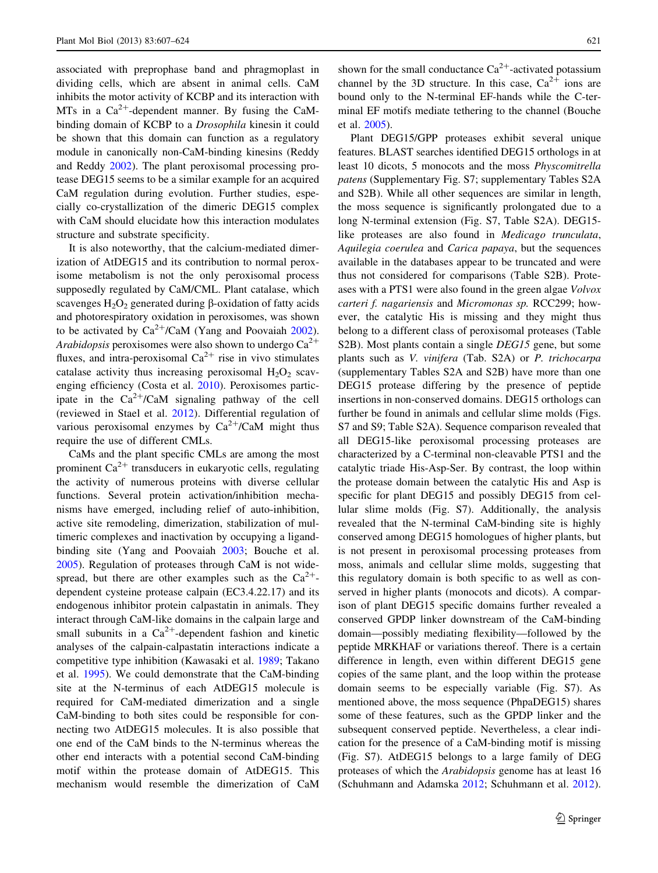associated with preprophase band and phragmoplast in dividing cells, which are absent in animal cells. CaM inhibits the motor activity of KCBP and its interaction with MTs in a  $Ca^{2+}$ -dependent manner. By fusing the CaMbinding domain of KCBP to a Drosophila kinesin it could be shown that this domain can function as a regulatory module in canonically non-CaM-binding kinesins (Reddy and Reddy [2002](#page-17-0)). The plant peroxisomal processing protease DEG15 seems to be a similar example for an acquired CaM regulation during evolution. Further studies, especially co-crystallization of the dimeric DEG15 complex with CaM should elucidate how this interaction modulates structure and substrate specificity.

It is also noteworthy, that the calcium-mediated dimerization of AtDEG15 and its contribution to normal peroxisome metabolism is not the only peroxisomal process supposedly regulated by CaM/CML. Plant catalase, which scavenges  $H_2O_2$  generated during  $\beta$ -oxidation of fatty acids and photorespiratory oxidation in peroxisomes, was shown to be activated by  $Ca^{2+}/CaM$  (Yang and Poovaiah [2002](#page-17-0)). Arabidopsis peroxisomes were also shown to undergo  $Ca^{2+}$ fluxes, and intra-peroxisomal  $Ca^{2+}$  rise in vivo stimulates catalase activity thus increasing peroxisomal  $H_2O_2$  scavenging efficiency (Costa et al. [2010\)](#page-16-0). Peroxisomes participate in the  $Ca^{2+}/CaM$  signaling pathway of the cell (reviewed in Stael et al. [2012\)](#page-17-0). Differential regulation of various peroxisomal enzymes by  $Ca^{2+}/CaM$  might thus require the use of different CMLs.

CaMs and the plant specific CMLs are among the most prominent  $Ca^{2+}$  transducers in eukaryotic cells, regulating the activity of numerous proteins with diverse cellular functions. Several protein activation/inhibition mechanisms have emerged, including relief of auto-inhibition, active site remodeling, dimerization, stabilization of multimeric complexes and inactivation by occupying a ligandbinding site (Yang and Poovaiah [2003](#page-17-0); Bouche et al. [2005\)](#page-15-0). Regulation of proteases through CaM is not widespread, but there are other examples such as the  $Ca^{2+}$ dependent cysteine protease calpain (EC3.4.22.17) and its endogenous inhibitor protein calpastatin in animals. They interact through CaM-like domains in the calpain large and small subunits in a  $Ca^{2+}$ -dependent fashion and kinetic analyses of the calpain-calpastatin interactions indicate a competitive type inhibition (Kawasaki et al. [1989](#page-16-0); Takano et al. [1995](#page-17-0)). We could demonstrate that the CaM-binding site at the N-terminus of each AtDEG15 molecule is required for CaM-mediated dimerization and a single CaM-binding to both sites could be responsible for connecting two AtDEG15 molecules. It is also possible that one end of the CaM binds to the N-terminus whereas the other end interacts with a potential second CaM-binding motif within the protease domain of AtDEG15. This mechanism would resemble the dimerization of CaM shown for the small conductance  $Ca^{2+}$ -activated potassium channel by the 3D structure. In this case,  $Ca^{2+}$  ions are bound only to the N-terminal EF-hands while the C-terminal EF motifs mediate tethering to the channel (Bouche et al. [2005\)](#page-15-0).

Plant DEG15/GPP proteases exhibit several unique features. BLAST searches identified DEG15 orthologs in at least 10 dicots, 5 monocots and the moss Physcomitrella patens (Supplementary Fig. S7; supplementary Tables S2A and S2B). While all other sequences are similar in length, the moss sequence is significantly prolongated due to a long N-terminal extension (Fig. S7, Table S2A). DEG15 like proteases are also found in Medicago trunculata, Aquilegia coerulea and Carica papaya, but the sequences available in the databases appear to be truncated and were thus not considered for comparisons (Table S2B). Proteases with a PTS1 were also found in the green algae Volvox carteri f. nagariensis and Micromonas sp. RCC299; however, the catalytic His is missing and they might thus belong to a different class of peroxisomal proteases (Table S2B). Most plants contain a single *DEG15* gene, but some plants such as V. vinifera (Tab. S2A) or P. trichocarpa (supplementary Tables S2A and S2B) have more than one DEG15 protease differing by the presence of peptide insertions in non-conserved domains. DEG15 orthologs can further be found in animals and cellular slime molds (Figs. S7 and S9; Table S2A). Sequence comparison revealed that all DEG15-like peroxisomal processing proteases are characterized by a C-terminal non-cleavable PTS1 and the catalytic triade His-Asp-Ser. By contrast, the loop within the protease domain between the catalytic His and Asp is specific for plant DEG15 and possibly DEG15 from cellular slime molds (Fig. S7). Additionally, the analysis revealed that the N-terminal CaM-binding site is highly conserved among DEG15 homologues of higher plants, but is not present in peroxisomal processing proteases from moss, animals and cellular slime molds, suggesting that this regulatory domain is both specific to as well as conserved in higher plants (monocots and dicots). A comparison of plant DEG15 specific domains further revealed a conserved GPDP linker downstream of the CaM-binding domain—possibly mediating flexibility—followed by the peptide MRKHAF or variations thereof. There is a certain difference in length, even within different DEG15 gene copies of the same plant, and the loop within the protease domain seems to be especially variable (Fig. S7). As mentioned above, the moss sequence (PhpaDEG15) shares some of these features, such as the GPDP linker and the subsequent conserved peptide. Nevertheless, a clear indication for the presence of a CaM-binding motif is missing (Fig. S7). AtDEG15 belongs to a large family of DEG proteases of which the Arabidopsis genome has at least 16 (Schuhmann and Adamska [2012;](#page-17-0) Schuhmann et al. [2012](#page-17-0)).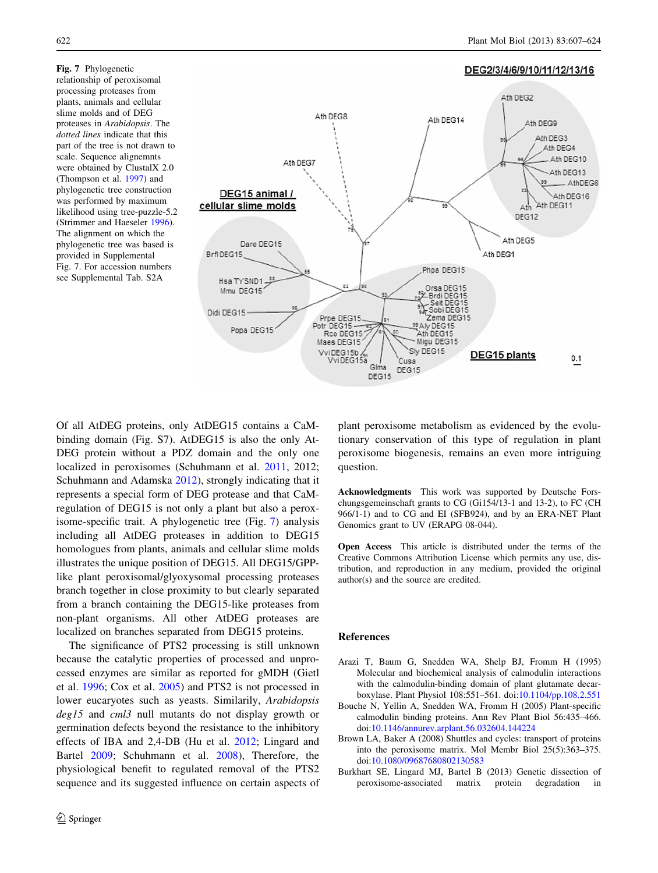<span id="page-15-0"></span>Fig. 7 Phylogenetic relationship of peroxisomal processing proteases from plants, animals and cellular slime molds and of DEG proteases in Arabidopsis. The dotted lines indicate that this part of the tree is not drawn to scale. Sequence alignemnts were obtained by ClustalX 2.0 (Thompson et al. [1997\)](#page-17-0) and phylogenetic tree construction was performed by maximum likelihood using tree-puzzle-5.2 (Strimmer and Haeseler [1996](#page-17-0)). The alignment on which the phylogenetic tree was based is provided in Supplemental Fig. 7. For accession numbers see Supplemental Tab. S2A



Of all AtDEG proteins, only AtDEG15 contains a CaMbinding domain (Fig. S7). AtDEG15 is also the only At-DEG protein without a PDZ domain and the only one localized in peroxisomes (Schuhmann et al. [2011](#page-17-0), 2012; Schuhmann and Adamska [2012\)](#page-17-0), strongly indicating that it represents a special form of DEG protease and that CaMregulation of DEG15 is not only a plant but also a peroxisome-specific trait. A phylogenetic tree (Fig. 7) analysis including all AtDEG proteases in addition to DEG15 homologues from plants, animals and cellular slime molds illustrates the unique position of DEG15. All DEG15/GPPlike plant peroxisomal/glyoxysomal processing proteases branch together in close proximity to but clearly separated from a branch containing the DEG15-like proteases from non-plant organisms. All other AtDEG proteases are localized on branches separated from DEG15 proteins.

The significance of PTS2 processing is still unknown because the catalytic properties of processed and unprocessed enzymes are similar as reported for gMDH (Gietl et al. [1996](#page-16-0); Cox et al. [2005\)](#page-16-0) and PTS2 is not processed in lower eucaryotes such as yeasts. Similarily, Arabidopsis deg15 and cml3 null mutants do not display growth or germination defects beyond the resistance to the inhibitory effects of IBA and 2,4-DB (Hu et al. [2012](#page-16-0); Lingard and Bartel [2009](#page-16-0); Schuhmann et al. [2008\)](#page-17-0), Therefore, the physiological benefit to regulated removal of the PTS2 sequence and its suggested influence on certain aspects of plant peroxisome metabolism as evidenced by the evolutionary conservation of this type of regulation in plant peroxisome biogenesis, remains an even more intriguing question.

Acknowledgments This work was supported by Deutsche Forschungsgemeinschaft grants to CG (Gi154/13-1 and 13-2), to FC (CH 966/1-1) and to CG and EI (SFB924), and by an ERA-NET Plant Genomics grant to UV (ERAPG 08-044).

Open Access This article is distributed under the terms of the Creative Commons Attribution License which permits any use, distribution, and reproduction in any medium, provided the original author(s) and the source are credited.

## References

- Arazi T, Baum G, Snedden WA, Shelp BJ, Fromm H (1995) Molecular and biochemical analysis of calmodulin interactions with the calmodulin-binding domain of plant glutamate decarboxylase. Plant Physiol 108:551–561. doi:[10.1104/pp.108.2.551](http://dx.doi.org/10.1104/pp.108.2.551)
- Bouche N, Yellin A, Snedden WA, Fromm H (2005) Plant-specific calmodulin binding proteins. Ann Rev Plant Biol 56:435–466. doi[:10.1146/annurev.arplant.56.032604.144224](http://dx.doi.org/10.1146/annurev.arplant.56.032604.144224)
- Brown LA, Baker A (2008) Shuttles and cycles: transport of proteins into the peroxisome matrix. Mol Membr Biol 25(5):363–375. doi[:10.1080/09687680802130583](http://dx.doi.org/10.1080/09687680802130583)
- Burkhart SE, Lingard MJ, Bartel B (2013) Genetic dissection of peroxisome-associated matrix protein degradation in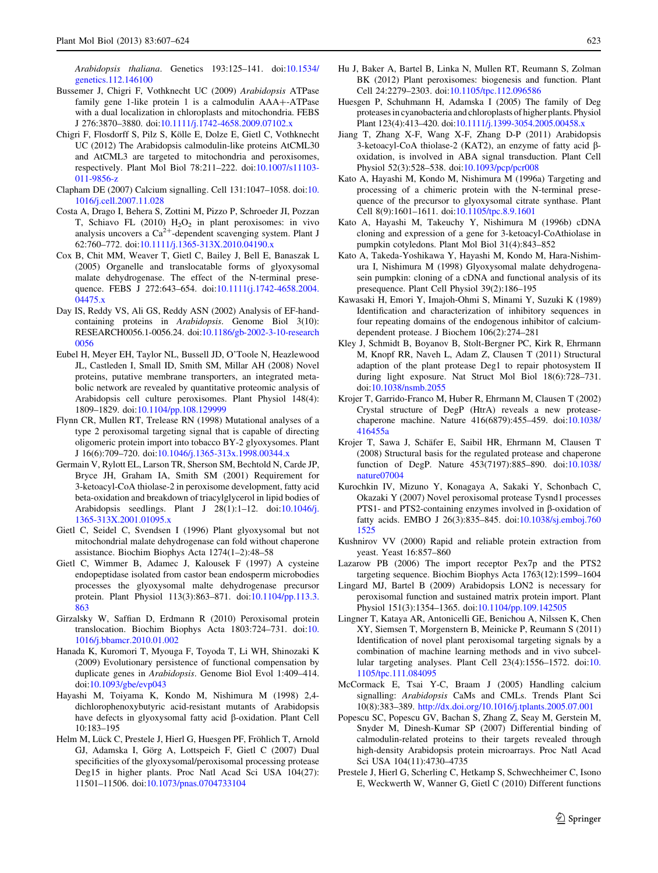<span id="page-16-0"></span>Arabidopsis thaliana. Genetics 193:125–141. doi[:10.1534/](http://dx.doi.org/10.1534/genetics.112.146100) [genetics.112.146100](http://dx.doi.org/10.1534/genetics.112.146100)

- Bussemer J, Chigri F, Vothknecht UC (2009) Arabidopsis ATPase family gene 1-like protein  $1$  is a calmodulin  $AA + ATP$ ase with a dual localization in chloroplasts and mitochondria. FEBS J 276:3870–3880. doi[:10.1111/j.1742-4658.2009.07102.x](http://dx.doi.org/10.1111/j.1742-4658.2009.07102.x)
- Chigri F, Flosdorff S, Pilz S, Kölle E, Dolze E, Gietl C, Vothknecht UC (2012) The Arabidopsis calmodulin-like proteins AtCML30 and AtCML3 are targeted to mitochondria and peroxisomes, respectively. Plant Mol Biol 78:211–222. doi:[10.1007/s11103-](http://dx.doi.org/10.1007/s11103-011-9856-z) [011-9856-z](http://dx.doi.org/10.1007/s11103-011-9856-z)
- Clapham DE (2007) Calcium signalling. Cell 131:1047–1058. doi:[10.](http://dx.doi.org/10.1016/j.cell.2007.11.028) [1016/j.cell.2007.11.028](http://dx.doi.org/10.1016/j.cell.2007.11.028)
- Costa A, Drago I, Behera S, Zottini M, Pizzo P, Schroeder JI, Pozzan T, Schiavo FL (2010)  $H_2O_2$  in plant peroxisomes: in vivo analysis uncovers a  $Ca^{2+}$ -dependent scavenging system. Plant J 62:760–772. doi:[10.1111/j.1365-313X.2010.04190.x](http://dx.doi.org/10.1111/j.1365-313X.2010.04190.x)
- Cox B, Chit MM, Weaver T, Gietl C, Bailey J, Bell E, Banaszak L (2005) Organelle and translocatable forms of glyoxysomal malate dehydrogenase. The effect of the N-terminal presequence. FEBS J 272:643–654. doi[:10.1111\(j.1742-4658.2004.](http://dx.doi.org/10.1111(j.1742-4658.2004.04475.x) [04475.x](http://dx.doi.org/10.1111(j.1742-4658.2004.04475.x)
- Day IS, Reddy VS, Ali GS, Reddy ASN (2002) Analysis of EF-handcontaining proteins in Arabidopsis. Genome Biol 3(10): RESEARCH0056.1-0056.24. doi[:10.1186/gb-2002-3-10-research](http://dx.doi.org/10.1186/gb-2002-3-10-research0056) [0056](http://dx.doi.org/10.1186/gb-2002-3-10-research0056)
- Eubel H, Meyer EH, Taylor NL, Bussell JD, O'Toole N, Heazlewood JL, Castleden I, Small ID, Smith SM, Millar AH (2008) Novel proteins, putative membrane transporters, an integrated metabolic network are revealed by quantitative proteomic analysis of Arabidopsis cell culture peroxisomes. Plant Physiol 148(4): 1809–1829. doi[:10.1104/pp.108.129999](http://dx.doi.org/10.1104/pp.108.129999)
- Flynn CR, Mullen RT, Trelease RN (1998) Mutational analyses of a type 2 peroxisomal targeting signal that is capable of directing oligomeric protein import into tobacco BY-2 glyoxysomes. Plant J 16(6):709–720. doi:[10.1046/j.1365-313x.1998.00344.x](http://dx.doi.org/10.1046/j.1365-313x.1998.00344.x)
- Germain V, Rylott EL, Larson TR, Sherson SM, Bechtold N, Carde JP, Bryce JH, Graham IA, Smith SM (2001) Requirement for 3-ketoacyl-CoA thiolase-2 in peroxisome development, fatty acid beta-oxidation and breakdown of triacylglycerol in lipid bodies of Arabidopsis seedlings. Plant J 28(1):1–12. doi:[10.1046/j.](http://dx.doi.org/10.1046/j.1365-313X.2001.01095.x) [1365-313X.2001.01095.x](http://dx.doi.org/10.1046/j.1365-313X.2001.01095.x)
- Gietl C, Seidel C, Svendsen I (1996) Plant glyoxysomal but not mitochondrial malate dehydrogenase can fold without chaperone assistance. Biochim Biophys Acta 1274(1–2):48–58
- Gietl C, Wimmer B, Adamec J, Kalousek F (1997) A cysteine endopeptidase isolated from castor bean endosperm microbodies processes the glyoxysomal malte dehydrogenase precursor protein. Plant Physiol 113(3):863–871. doi[:10.1104/pp.113.3.](http://dx.doi.org/10.1104/pp.113.3.863) [863](http://dx.doi.org/10.1104/pp.113.3.863)
- Girzalsky W, Saffian D, Erdmann R (2010) Peroxisomal protein translocation. Biochim Biophys Acta 1803:724–731. doi:[10.](http://dx.doi.org/10.1016/j.bbamcr.2010.01.002) [1016/j.bbamcr.2010.01.002](http://dx.doi.org/10.1016/j.bbamcr.2010.01.002)
- Hanada K, Kuromori T, Myouga F, Toyoda T, Li WH, Shinozaki K (2009) Evolutionary persistence of functional compensation by duplicate genes in Arabidopsis. Genome Biol Evol 1:409–414. doi[:10.1093/gbe/evp043](http://dx.doi.org/10.1093/gbe/evp043)
- Hayashi M, Toiyama K, Kondo M, Nishimura M (1998) 2,4 dichlorophenoxybutyric acid-resistant mutants of Arabidopsis have defects in glyoxysomal fatty acid  $\beta$ -oxidation. Plant Cell 10:183–195
- Helm M, Lück C, Prestele J, Hierl G, Huesgen PF, Fröhlich T, Arnold GJ, Adamska I, Görg A, Lottspeich F, Gietl C (2007) Dual specificities of the glyoxysomal/peroxisomal processing protease Deg15 in higher plants. Proc Natl Acad Sci USA 104(27): 11501–11506. doi:[10.1073/pnas.0704733104](http://dx.doi.org/10.1073/pnas.0704733104)
- Hu J, Baker A, Bartel B, Linka N, Mullen RT, Reumann S, Zolman BK (2012) Plant peroxisomes: biogenesis and function. Plant Cell 24:2279–2303. doi[:10.1105/tpc.112.096586](http://dx.doi.org/10.1105/tpc.112.096586)
- Huesgen P, Schuhmann H, Adamska I (2005) The family of Deg proteases in cyanobacteria and chloroplasts of higher plants. Physiol Plant 123(4):413–420. doi:[10.1111/j.1399-3054.2005.00458.x](http://dx.doi.org/10.1111/j.1399-3054.2005.00458.x)
- Jiang T, Zhang X-F, Wang X-F, Zhang D-P (2011) Arabidopsis 3-ketoacyl-CoA thiolase-2 (KAT2), an enzyme of fatty acid boxidation, is involved in ABA signal transduction. Plant Cell Physiol 52(3):528–538. doi:[10.1093/pcp/pcr008](http://dx.doi.org/10.1093/pcp/pcr008)
- Kato A, Hayashi M, Kondo M, Nishimura M (1996a) Targeting and processing of a chimeric protein with the N-terminal presequence of the precursor to glyoxysomal citrate synthase. Plant Cell 8(9):1601–1611. doi:[10.1105/tpc.8.9.1601](http://dx.doi.org/10.1105/tpc.8.9.1601)
- Kato A, Hayashi M, Takeuchy Y, Nishimura M (1996b) cDNA cloning and expression of a gene for 3-ketoacyl-CoAthiolase in pumpkin cotyledons. Plant Mol Biol 31(4):843–852
- Kato A, Takeda-Yoshikawa Y, Hayashi M, Kondo M, Hara-Nishimura I, Nishimura M (1998) Glyoxysomal malate dehydrogenasein pumpkin: cloning of a cDNA and functional analysis of its presequence. Plant Cell Physiol 39(2):186–195
- Kawasaki H, Emori Y, Imajoh-Ohmi S, Minami Y, Suzuki K (1989) Identification and characterization of inhibitory sequences in four repeating domains of the endogenous inhibitor of calciumdependent protease. J Biochem 106(2):274–281
- Kley J, Schmidt B, Boyanov B, Stolt-Bergner PC, Kirk R, Ehrmann M, Knopf RR, Naveh L, Adam Z, Clausen T (2011) Structural adaption of the plant protease Deg1 to repair photosystem II during light exposure. Nat Struct Mol Biol 18(6):728–731. doi[:10.1038/nsmb.2055](http://dx.doi.org/10.1038/nsmb.2055)
- Krojer T, Garrido-Franco M, Huber R, Ehrmann M, Clausen T (2002) Crystal structure of DegP (HtrA) reveals a new proteasechaperone machine. Nature 416(6879):455–459. doi[:10.1038/](http://dx.doi.org/10.1038/416455a) [416455a](http://dx.doi.org/10.1038/416455a)
- Krojer T, Sawa J, Schäfer E, Saibil HR, Ehrmann M, Clausen T (2008) Structural basis for the regulated protease and chaperone function of DegP. Nature 453(7197):885–890. doi[:10.1038/](http://dx.doi.org/10.1038/nature07004) [nature07004](http://dx.doi.org/10.1038/nature07004)
- Kurochkin IV, Mizuno Y, Konagaya A, Sakaki Y, Schonbach C, Okazaki Y (2007) Novel peroxisomal protease Tysnd1 processes PTS1- and PTS2-containing enzymes involved in  $\beta$ -oxidation of fatty acids. EMBO J 26(3):835–845. doi[:10.1038/sj.emboj.760](http://dx.doi.org/10.1038/sj.emboj.7601525) [1525](http://dx.doi.org/10.1038/sj.emboj.7601525)
- Kushnirov VV (2000) Rapid and reliable protein extraction from yeast. Yeast 16:857–860
- Lazarow PB (2006) The import receptor Pex7p and the PTS2 targeting sequence. Biochim Biophys Acta 1763(12):1599–1604
- Lingard MJ, Bartel B (2009) Arabidopsis LON2 is necessary for peroxisomal function and sustained matrix protein import. Plant Physiol 151(3):1354–1365. doi:[10.1104/pp.109.142505](http://dx.doi.org/10.1104/pp.109.142505)
- Lingner T, Kataya AR, Antonicelli GE, Benichou A, Nilssen K, Chen XY, Siemsen T, Morgenstern B, Meinicke P, Reumann S (2011) Identification of novel plant peroxisomal targeting signals by a combination of machine learning methods and in vivo subcellular targeting analyses. Plant Cell 23(4):1556–1572. doi:[10.](http://dx.doi.org/10.1105/tpc.111.084095) [1105/tpc.111.084095](http://dx.doi.org/10.1105/tpc.111.084095)
- McCormack E, Tsai Y-C, Braam J (2005) Handling calcium signalling: Arabidopsis CaMs and CMLs. Trends Plant Sci 10(8):383–389. <http://dx.doi.org/10.1016/j.tplants.2005.07.001>
- Popescu SC, Popescu GV, Bachan S, Zhang Z, Seay M, Gerstein M, Snyder M, Dinesh-Kumar SP (2007) Differential binding of calmodulin-related proteins to their targets revealed through high-density Arabidopsis protein microarrays. Proc Natl Acad Sci USA 104(11):4730–4735
- Prestele J, Hierl G, Scherling C, Hetkamp S, Schwechheimer C, Isono E, Weckwerth W, Wanner G, Gietl C (2010) Different functions